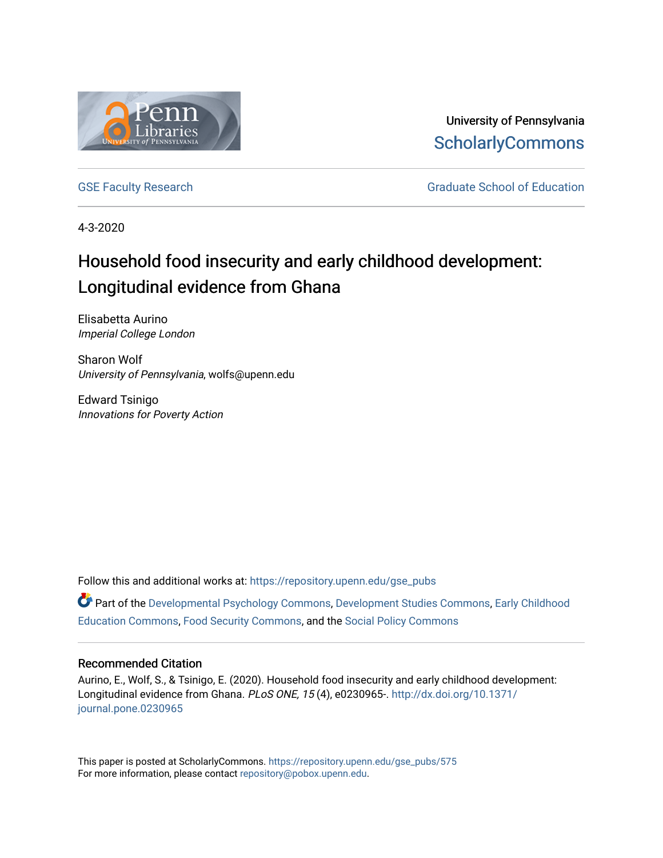

University of Pennsylvania **ScholarlyCommons** 

[GSE Faculty Research](https://repository.upenn.edu/gse_pubs) GSE Faculty Research Graduate School of Education

4-3-2020

# Household food insecurity and early childhood development: Longitudinal evidence from Ghana

Elisabetta Aurino Imperial College London

Sharon Wolf University of Pennsylvania, wolfs@upenn.edu

Edward Tsinigo Innovations for Poverty Action

Follow this and additional works at: [https://repository.upenn.edu/gse\\_pubs](https://repository.upenn.edu/gse_pubs?utm_source=repository.upenn.edu%2Fgse_pubs%2F575&utm_medium=PDF&utm_campaign=PDFCoverPages) 

Part of the [Developmental Psychology Commons,](http://network.bepress.com/hgg/discipline/410?utm_source=repository.upenn.edu%2Fgse_pubs%2F575&utm_medium=PDF&utm_campaign=PDFCoverPages) [Development Studies Commons,](http://network.bepress.com/hgg/discipline/1422?utm_source=repository.upenn.edu%2Fgse_pubs%2F575&utm_medium=PDF&utm_campaign=PDFCoverPages) [Early Childhood](http://network.bepress.com/hgg/discipline/1377?utm_source=repository.upenn.edu%2Fgse_pubs%2F575&utm_medium=PDF&utm_campaign=PDFCoverPages)  [Education Commons,](http://network.bepress.com/hgg/discipline/1377?utm_source=repository.upenn.edu%2Fgse_pubs%2F575&utm_medium=PDF&utm_campaign=PDFCoverPages) [Food Security Commons,](http://network.bepress.com/hgg/discipline/1332?utm_source=repository.upenn.edu%2Fgse_pubs%2F575&utm_medium=PDF&utm_campaign=PDFCoverPages) and the [Social Policy Commons](http://network.bepress.com/hgg/discipline/1030?utm_source=repository.upenn.edu%2Fgse_pubs%2F575&utm_medium=PDF&utm_campaign=PDFCoverPages) 

### Recommended Citation

Aurino, E., Wolf, S., & Tsinigo, E. (2020). Household food insecurity and early childhood development: Longitudinal evidence from Ghana. PLoS ONE, 15 (4), e0230965-. [http://dx.doi.org/10.1371/](http://dx.doi.org/10.1371/journal.pone.0230965) [journal.pone.0230965](http://dx.doi.org/10.1371/journal.pone.0230965) 

This paper is posted at ScholarlyCommons. [https://repository.upenn.edu/gse\\_pubs/575](https://repository.upenn.edu/gse_pubs/575)  For more information, please contact [repository@pobox.upenn.edu.](mailto:repository@pobox.upenn.edu)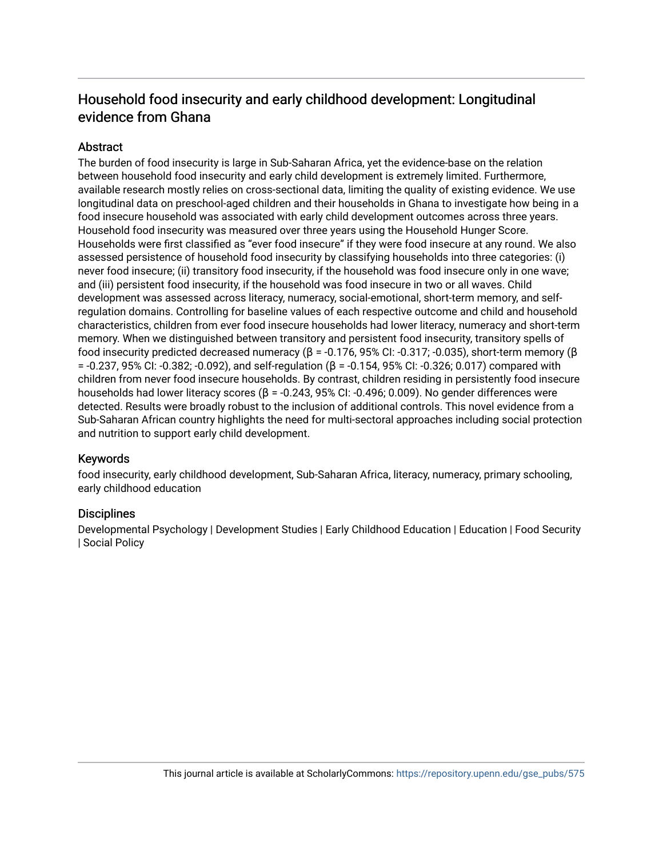# Household food insecurity and early childhood development: Longitudinal evidence from Ghana

# **Abstract**

The burden of food insecurity is large in Sub-Saharan Africa, yet the evidence-base on the relation between household food insecurity and early child development is extremely limited. Furthermore, available research mostly relies on cross-sectional data, limiting the quality of existing evidence. We use longitudinal data on preschool-aged children and their households in Ghana to investigate how being in a food insecure household was associated with early child development outcomes across three years. Household food insecurity was measured over three years using the Household Hunger Score. Households were first classified as "ever food insecure" if they were food insecure at any round. We also assessed persistence of household food insecurity by classifying households into three categories: (i) never food insecure; (ii) transitory food insecurity, if the household was food insecure only in one wave; and (iii) persistent food insecurity, if the household was food insecure in two or all waves. Child development was assessed across literacy, numeracy, social-emotional, short-term memory, and selfregulation domains. Controlling for baseline values of each respective outcome and child and household characteristics, children from ever food insecure households had lower literacy, numeracy and short-term memory. When we distinguished between transitory and persistent food insecurity, transitory spells of food insecurity predicted decreased numeracy ( $\beta$  = -0.176, 95% CI: -0.317; -0.035), short-term memory ( $\beta$ = -0.237, 95% CI: -0.382; -0.092), and self-regulation (β = -0.154, 95% CI: -0.326; 0.017) compared with children from never food insecure households. By contrast, children residing in persistently food insecure households had lower literacy scores (β = -0.243, 95% CI: -0.496; 0.009). No gender differences were detected. Results were broadly robust to the inclusion of additional controls. This novel evidence from a Sub-Saharan African country highlights the need for multi-sectoral approaches including social protection and nutrition to support early child development.

# Keywords

food insecurity, early childhood development, Sub-Saharan Africa, literacy, numeracy, primary schooling, early childhood education

# **Disciplines**

Developmental Psychology | Development Studies | Early Childhood Education | Education | Food Security | Social Policy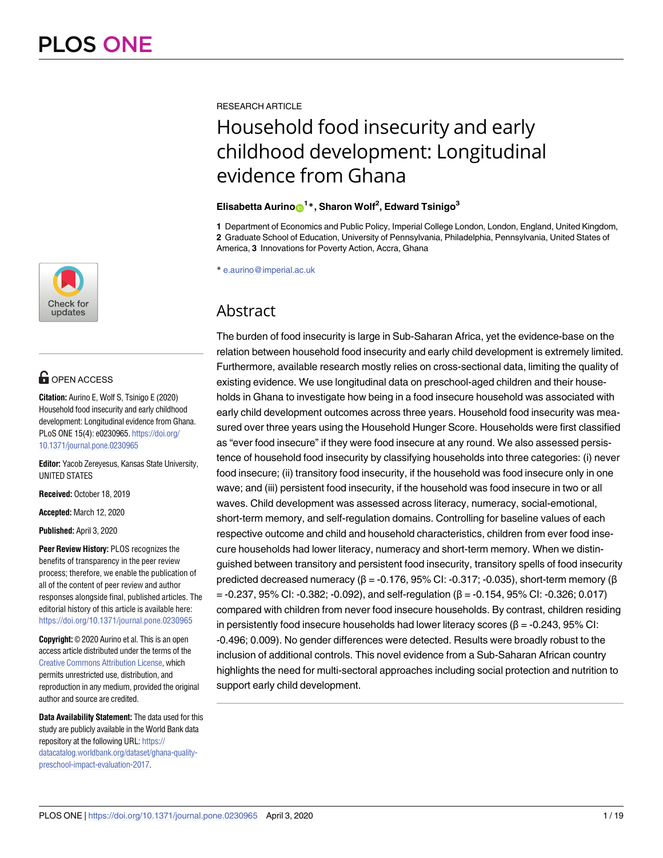

# **OPEN ACCESS**

**Citation:** Aurino E, Wolf S, Tsinigo E (2020) Household food insecurity and early childhood development: Longitudinal evidence from Ghana. PLoS ONE 15(4): e0230965. [https://doi.org/](https://doi.org/10.1371/journal.pone.0230965) [10.1371/journal.pone.0230965](https://doi.org/10.1371/journal.pone.0230965)

**Editor:** Yacob Zereyesus, Kansas State University, UNITED STATES

**Received:** October 18, 2019

**Accepted:** March 12, 2020

**Published:** April 3, 2020

**Peer Review History:** PLOS recognizes the benefits of transparency in the peer review process; therefore, we enable the publication of all of the content of peer review and author responses alongside final, published articles. The editorial history of this article is available here: <https://doi.org/10.1371/journal.pone.0230965>

**Copyright:** © 2020 Aurino et al. This is an open access article distributed under the terms of the Creative Commons [Attribution](http://creativecommons.org/licenses/by/4.0/) License, which permits unrestricted use, distribution, and reproduction in any medium, provided the original author and source are credited.

**Data Availability Statement:** The data used for this study are publicly available in the World Bank data repository at the following URL: [https://](https://datacatalog.worldbank.org/dataset/ghana-quality-preschool-impact-evaluation-2017) [datacatalog.worldbank.org/dataset/ghana-quality](https://datacatalog.worldbank.org/dataset/ghana-quality-preschool-impact-evaluation-2017)[preschool-impact-evaluation-2017.](https://datacatalog.worldbank.org/dataset/ghana-quality-preschool-impact-evaluation-2017)

RESEARCH ARTICLE

# Household food insecurity and early childhood development: Longitudinal evidence from Ghana

# $E$ lisabetta Aurino $\mathbf{D}^{1*}$ , Sharon Wolf<sup>2</sup>, Edward Tsinigo<sup>3</sup>

**1** Department of Economics and Public Policy, Imperial College London, London, England, United Kingdom, **2** Graduate School of Education, University of Pennsylvania, Philadelphia, Pennsylvania, United States of America, **3** Innovations for Poverty Action, Accra, Ghana

\* e.aurino@imperial.ac.uk

# Abstract

The burden of food insecurity is large in Sub-Saharan Africa, yet the evidence-base on the relation between household food insecurity and early child development is extremely limited. Furthermore, available research mostly relies on cross-sectional data, limiting the quality of existing evidence. We use longitudinal data on preschool-aged children and their households in Ghana to investigate how being in a food insecure household was associated with early child development outcomes across three years. Household food insecurity was measured over three years using the Household Hunger Score. Households were first classified as "ever food insecure" if they were food insecure at any round. We also assessed persistence of household food insecurity by classifying households into three categories: (i) never food insecure; (ii) transitory food insecurity, if the household was food insecure only in one wave; and (iii) persistent food insecurity, if the household was food insecure in two or all waves. Child development was assessed across literacy, numeracy, social-emotional, short-term memory, and self-regulation domains. Controlling for baseline values of each respective outcome and child and household characteristics, children from ever food insecure households had lower literacy, numeracy and short-term memory. When we distinguished between transitory and persistent food insecurity, transitory spells of food insecurity predicted decreased numeracy ( $\beta$  = -0.176, 95% CI: -0.317; -0.035), short-term memory ( $\beta$  $=$  -0.237, 95% CI: -0.382; -0.092), and self-regulation (β = -0.154, 95% CI: -0.326; 0.017) compared with children from never food insecure households. By contrast, children residing in persistently food insecure households had lower literacy scores ( $\beta$  = -0.243, 95% CI: -0.496; 0.009). No gender differences were detected. Results were broadly robust to the inclusion of additional controls. This novel evidence from a Sub-Saharan African country highlights the need for multi-sectoral approaches including social protection and nutrition to support early child development.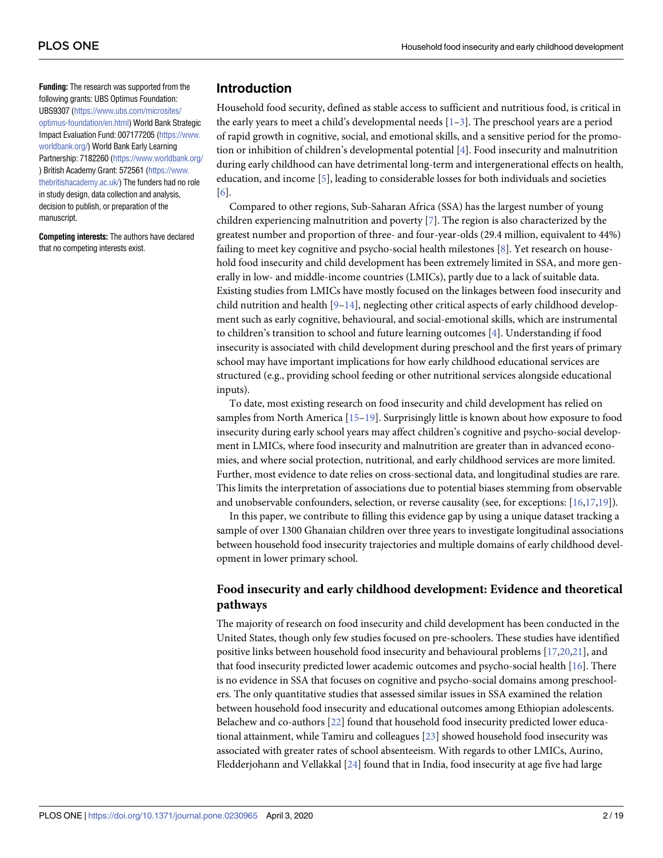<span id="page-3-0"></span>**Funding:** The research was supported from the following grants: UBS Optimus Foundation: UBS9307 [\(https://www.ubs.com/microsites/](https://www.ubs.com/microsites/optimus-foundation/en.html) [optimus-foundation/en.html\)](https://www.ubs.com/microsites/optimus-foundation/en.html) World Bank Strategic Impact Evaluation Fund: 007177205 [\(https://www.](https://www.worldbank.org/) [worldbank.org/\)](https://www.worldbank.org/) World Bank Early Learning Partnership: 7182260 [\(https://www.worldbank.org/](https://www.worldbank.org/) ) British Academy Grant: 572561 [\(https://www.](https://www.thebritishacademy.ac.uk/) [thebritishacademy.ac.uk/\)](https://www.thebritishacademy.ac.uk/) The funders had no role in study design, data collection and analysis, decision to publish, or preparation of the manuscript.

**Competing interests:** The authors have declared that no competing interests exist.

## **Introduction**

Household food security, defined as stable access to sufficient and nutritious food, is critical in the early years to meet a child's developmental needs  $[1-3]$  $[1-3]$  $[1-3]$  $[1-3]$  $[1-3]$ . The preschool years are a period of rapid growth in cognitive, social, and emotional skills, and a sensitive period for the promotion or inhibition of children's developmental potential [\[4\]](#page-16-0). Food insecurity and malnutrition during early childhood can have detrimental long-term and intergenerational effects on health, education, and income [[5\]](#page-16-0), leading to considerable losses for both individuals and societies [\[6](#page-16-0)].

Compared to other regions, Sub-Saharan Africa (SSA) has the largest number of young children experiencing malnutrition and poverty [[7\]](#page-16-0). The region is also characterized by the greatest number and proportion of three- and four-year-olds (29.4 million, equivalent to 44%) failing to meet key cognitive and psycho-social health milestones [\[8](#page-16-0)]. Yet research on household food insecurity and child development has been extremely limited in SSA, and more generally in low- and middle-income countries (LMICs), partly due to a lack of suitable data. Existing studies from LMICs have mostly focused on the linkages between food insecurity and child nutrition and health  $[9-14]$  $[9-14]$ , neglecting other critical aspects of early childhood development such as early cognitive, behavioural, and social-emotional skills, which are instrumental to children's transition to school and future learning outcomes [\[4](#page-16-0)]. Understanding if food insecurity is associated with child development during preschool and the first years of primary school may have important implications for how early childhood educational services are structured (e.g., providing school feeding or other nutritional services alongside educational inputs).

To date, most existing research on food insecurity and child development has relied on samples from North America [\[15–19\]](#page-17-0). Surprisingly little is known about how exposure to food insecurity during early school years may affect children's cognitive and psycho-social development in LMICs, where food insecurity and malnutrition are greater than in advanced economies, and where social protection, nutritional, and early childhood services are more limited. Further, most evidence to date relies on cross-sectional data, and longitudinal studies are rare. This limits the interpretation of associations due to potential biases stemming from observable and unobservable confounders, selection, or reverse causality (see, for exceptions: [\[16](#page-17-0),[17](#page-17-0),[19\]](#page-17-0)).

In this paper, we contribute to filling this evidence gap by using a unique dataset tracking a sample of over 1300 Ghanaian children over three years to investigate longitudinal associations between household food insecurity trajectories and multiple domains of early childhood development in lower primary school.

# **Food insecurity and early childhood development: Evidence and theoretical pathways**

The majority of research on food insecurity and child development has been conducted in the United States, though only few studies focused on pre-schoolers. These studies have identified positive links between household food insecurity and behavioural problems [\[17,20,21](#page-17-0)], and that food insecurity predicted lower academic outcomes and psycho-social health [\[16\]](#page-17-0). There is no evidence in SSA that focuses on cognitive and psycho-social domains among preschoolers. The only quantitative studies that assessed similar issues in SSA examined the relation between household food insecurity and educational outcomes among Ethiopian adolescents. Belachew and co-authors [[22](#page-17-0)] found that household food insecurity predicted lower educational attainment, while Tamiru and colleagues [\[23\]](#page-17-0) showed household food insecurity was associated with greater rates of school absenteeism. With regards to other LMICs, Aurino, Fledderjohann and Vellakkal [\[24\]](#page-17-0) found that in India, food insecurity at age five had large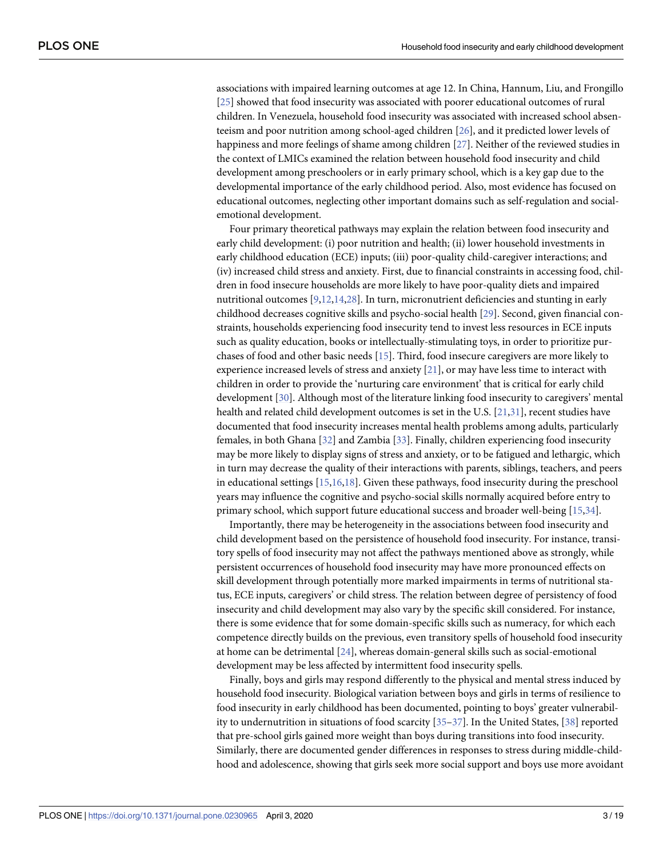<span id="page-4-0"></span>associations with impaired learning outcomes at age 12. In China, Hannum, Liu, and Frongillo [\[25\]](#page-17-0) showed that food insecurity was associated with poorer educational outcomes of rural children. In Venezuela, household food insecurity was associated with increased school absenteeism and poor nutrition among school-aged children [\[26\]](#page-17-0), and it predicted lower levels of happiness and more feelings of shame among children [[27](#page-17-0)]. Neither of the reviewed studies in the context of LMICs examined the relation between household food insecurity and child development among preschoolers or in early primary school, which is a key gap due to the developmental importance of the early childhood period. Also, most evidence has focused on educational outcomes, neglecting other important domains such as self-regulation and socialemotional development.

Four primary theoretical pathways may explain the relation between food insecurity and early child development: (i) poor nutrition and health; (ii) lower household investments in early childhood education (ECE) inputs; (iii) poor-quality child-caregiver interactions; and (iv) increased child stress and anxiety. First, due to financial constraints in accessing food, children in food insecure households are more likely to have poor-quality diets and impaired nutritional outcomes [[9](#page-16-0),[12](#page-16-0)[,14,28\]](#page-17-0). In turn, micronutrient deficiencies and stunting in early childhood decreases cognitive skills and psycho-social health [\[29\]](#page-17-0). Second, given financial constraints, households experiencing food insecurity tend to invest less resources in ECE inputs such as quality education, books or intellectually-stimulating toys, in order to prioritize purchases of food and other basic needs [[15\]](#page-17-0). Third, food insecure caregivers are more likely to experience increased levels of stress and anxiety  $[21]$  $[21]$  $[21]$ , or may have less time to interact with children in order to provide the 'nurturing care environment' that is critical for early child development [\[30\]](#page-17-0). Although most of the literature linking food insecurity to caregivers' mental health and related child development outcomes is set in the U.S. [\[21,31\]](#page-17-0), recent studies have documented that food insecurity increases mental health problems among adults, particularly females, in both Ghana [[32](#page-18-0)] and Zambia [\[33\]](#page-18-0). Finally, children experiencing food insecurity may be more likely to display signs of stress and anxiety, or to be fatigued and lethargic, which in turn may decrease the quality of their interactions with parents, siblings, teachers, and peers in educational settings [[15](#page-17-0),[16,18\]](#page-17-0). Given these pathways, food insecurity during the preschool years may influence the cognitive and psycho-social skills normally acquired before entry to primary school, which support future educational success and broader well-being [[15](#page-17-0),[34\]](#page-18-0).

Importantly, there may be heterogeneity in the associations between food insecurity and child development based on the persistence of household food insecurity. For instance, transitory spells of food insecurity may not affect the pathways mentioned above as strongly, while persistent occurrences of household food insecurity may have more pronounced effects on skill development through potentially more marked impairments in terms of nutritional status, ECE inputs, caregivers' or child stress. The relation between degree of persistency of food insecurity and child development may also vary by the specific skill considered. For instance, there is some evidence that for some domain-specific skills such as numeracy, for which each competence directly builds on the previous, even transitory spells of household food insecurity at home can be detrimental [\[24\]](#page-17-0), whereas domain-general skills such as social-emotional development may be less affected by intermittent food insecurity spells.

Finally, boys and girls may respond differently to the physical and mental stress induced by household food insecurity. Biological variation between boys and girls in terms of resilience to food insecurity in early childhood has been documented, pointing to boys' greater vulnerability to undernutrition in situations of food scarcity [\[35–37](#page-18-0)]. In the United States, [[38](#page-18-0)] reported that pre-school girls gained more weight than boys during transitions into food insecurity. Similarly, there are documented gender differences in responses to stress during middle-childhood and adolescence, showing that girls seek more social support and boys use more avoidant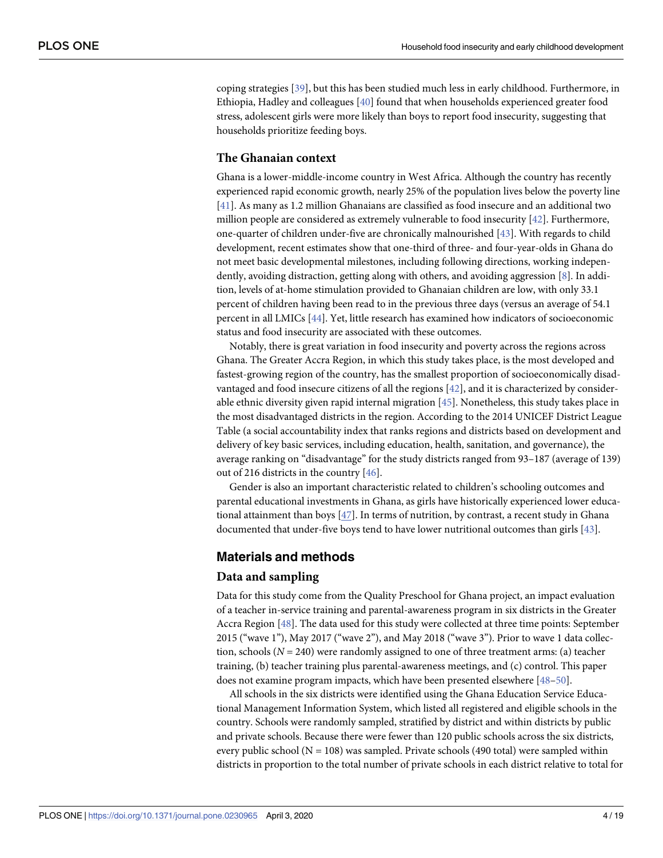<span id="page-5-0"></span>coping strategies [\[39\]](#page-18-0), but this has been studied much less in early childhood. Furthermore, in Ethiopia, Hadley and colleagues [[40](#page-18-0)] found that when households experienced greater food stress, adolescent girls were more likely than boys to report food insecurity, suggesting that households prioritize feeding boys.

#### **The Ghanaian context**

Ghana is a lower-middle-income country in West Africa. Although the country has recently experienced rapid economic growth, nearly 25% of the population lives below the poverty line [\[41\]](#page-18-0). As many as 1.2 million Ghanaians are classified as food insecure and an additional two million people are considered as extremely vulnerable to food insecurity [[42](#page-18-0)]. Furthermore, one-quarter of children under-five are chronically malnourished [\[43](#page-18-0)]. With regards to child development, recent estimates show that one-third of three- and four-year-olds in Ghana do not meet basic developmental milestones, including following directions, working independently, avoiding distraction, getting along with others, and avoiding aggression [\[8\]](#page-16-0). In addition, levels of at-home stimulation provided to Ghanaian children are low, with only 33.1 percent of children having been read to in the previous three days (versus an average of 54.1 percent in all LMICs [[44](#page-18-0)]. Yet, little research has examined how indicators of socioeconomic status and food insecurity are associated with these outcomes.

Notably, there is great variation in food insecurity and poverty across the regions across Ghana. The Greater Accra Region, in which this study takes place, is the most developed and fastest-growing region of the country, has the smallest proportion of socioeconomically disadvantaged and food insecure citizens of all the regions [\[42\]](#page-18-0), and it is characterized by considerable ethnic diversity given rapid internal migration [[45](#page-18-0)]. Nonetheless, this study takes place in the most disadvantaged districts in the region. According to the 2014 UNICEF District League Table (a social accountability index that ranks regions and districts based on development and delivery of key basic services, including education, health, sanitation, and governance), the average ranking on "disadvantage" for the study districts ranged from 93–187 (average of 139) out of 216 districts in the country [\[46\]](#page-18-0).

Gender is also an important characteristic related to children's schooling outcomes and parental educational investments in Ghana, as girls have historically experienced lower educational attainment than boys [\[47\]](#page-18-0). In terms of nutrition, by contrast, a recent study in Ghana documented that under-five boys tend to have lower nutritional outcomes than girls [[43](#page-18-0)].

### **Materials and methods**

#### **Data and sampling**

Data for this study come from the Quality Preschool for Ghana project, an impact evaluation of a teacher in-service training and parental-awareness program in six districts in the Greater Accra Region [\[48\]](#page-18-0). The data used for this study were collected at three time points: September 2015 ("wave 1"), May 2017 ("wave 2"), and May 2018 ("wave 3"). Prior to wave 1 data collection, schools (*N* = 240) were randomly assigned to one of three treatment arms: (a) teacher training, (b) teacher training plus parental-awareness meetings, and (c) control. This paper does not examine program impacts, which have been presented elsewhere [[48–50\]](#page-18-0).

All schools in the six districts were identified using the Ghana Education Service Educational Management Information System, which listed all registered and eligible schools in the country. Schools were randomly sampled, stratified by district and within districts by public and private schools. Because there were fewer than 120 public schools across the six districts, every public school  $(N = 108)$  was sampled. Private schools (490 total) were sampled within districts in proportion to the total number of private schools in each district relative to total for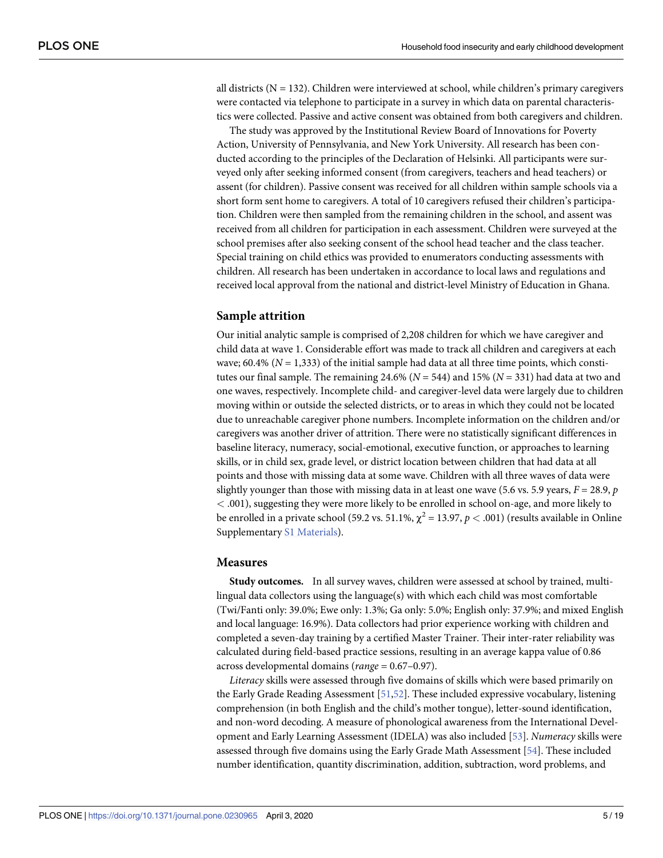<span id="page-6-0"></span>all districts ( $N = 132$ ). Children were interviewed at school, while children's primary caregivers were contacted via telephone to participate in a survey in which data on parental characteristics were collected. Passive and active consent was obtained from both caregivers and children.

The study was approved by the Institutional Review Board of Innovations for Poverty Action, University of Pennsylvania, and New York University. All research has been conducted according to the principles of the Declaration of Helsinki. All participants were surveyed only after seeking informed consent (from caregivers, teachers and head teachers) or assent (for children). Passive consent was received for all children within sample schools via a short form sent home to caregivers. A total of 10 caregivers refused their children's participation. Children were then sampled from the remaining children in the school, and assent was received from all children for participation in each assessment. Children were surveyed at the school premises after also seeking consent of the school head teacher and the class teacher. Special training on child ethics was provided to enumerators conducting assessments with children. All research has been undertaken in accordance to local laws and regulations and received local approval from the national and district-level Ministry of Education in Ghana.

#### **Sample attrition**

Our initial analytic sample is comprised of 2,208 children for which we have caregiver and child data at wave 1. Considerable effort was made to track all children and caregivers at each wave; 60.4% ( $N = 1,333$ ) of the initial sample had data at all three time points, which constitutes our final sample. The remaining 24.6% ( $N = 544$ ) and 15% ( $N = 331$ ) had data at two and one waves, respectively. Incomplete child- and caregiver-level data were largely due to children moving within or outside the selected districts, or to areas in which they could not be located due to unreachable caregiver phone numbers. Incomplete information on the children and/or caregivers was another driver of attrition. There were no statistically significant differences in baseline literacy, numeracy, social-emotional, executive function, or approaches to learning skills, or in child sex, grade level, or district location between children that had data at all points and those with missing data at some wave. Children with all three waves of data were slightly younger than those with missing data in at least one wave (5.6 vs. 5.9 years,  $F = 28.9$ ,  $p$ *<* .001), suggesting they were more likely to be enrolled in school on-age, and more likely to be enrolled in a private school (59.2 vs. 51.1%,  $\chi^2 = 13.97$ ,  $p < .001$ ) (results available in Online Supplementary S1 [Materials\)](#page-15-0).

#### **Measures**

**Study outcomes.** In all survey waves, children were assessed at school by trained, multilingual data collectors using the language(s) with which each child was most comfortable (Twi/Fanti only: 39.0%; Ewe only: 1.3%; Ga only: 5.0%; English only: 37.9%; and mixed English and local language: 16.9%). Data collectors had prior experience working with children and completed a seven-day training by a certified Master Trainer. Their inter-rater reliability was calculated during field-based practice sessions, resulting in an average kappa value of 0.86 across developmental domains (*range* = 0.67–0.97).

*Literacy* skills were assessed through five domains of skills which were based primarily on the Early Grade Reading Assessment [[51,52\]](#page-18-0). These included expressive vocabulary, listening comprehension (in both English and the child's mother tongue), letter-sound identification, and non-word decoding. A measure of phonological awareness from the International Development and Early Learning Assessment (IDELA) was also included [\[53\]](#page-18-0). *Numeracy* skills were assessed through five domains using the Early Grade Math Assessment [[54](#page-19-0)]. These included number identification, quantity discrimination, addition, subtraction, word problems, and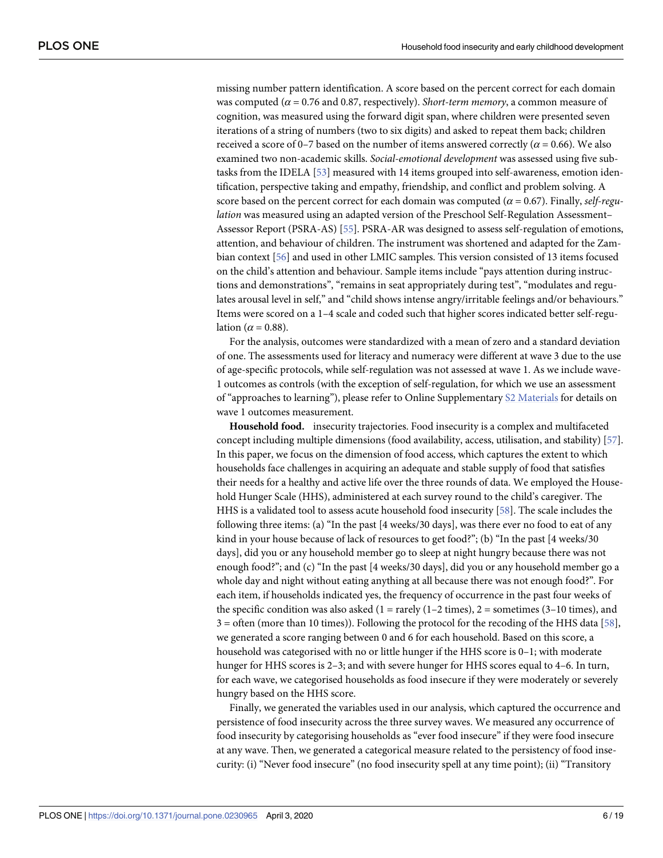<span id="page-7-0"></span>missing number pattern identification. A score based on the percent correct for each domain was computed (*α* = 0.76 and 0.87, respectively). *Short-term memory*, a common measure of cognition, was measured using the forward digit span, where children were presented seven iterations of a string of numbers (two to six digits) and asked to repeat them back; children received a score of 0–7 based on the number of items answered correctly ( $\alpha$  = 0.66). We also examined two non-academic skills. *Social-emotional development* was assessed using five subtasks from the IDELA [\[53\]](#page-18-0) measured with 14 items grouped into self-awareness, emotion identification, perspective taking and empathy, friendship, and conflict and problem solving. A score based on the percent correct for each domain was computed ( $\alpha = 0.67$ ). Finally, *self-regulation* was measured using an adapted version of the Preschool Self-Regulation Assessment– Assessor Report (PSRA-AS) [[55](#page-19-0)]. PSRA-AR was designed to assess self-regulation of emotions, attention, and behaviour of children. The instrument was shortened and adapted for the Zambian context [\[56\]](#page-19-0) and used in other LMIC samples. This version consisted of 13 items focused on the child's attention and behaviour. Sample items include "pays attention during instructions and demonstrations", "remains in seat appropriately during test", "modulates and regulates arousal level in self," and "child shows intense angry/irritable feelings and/or behaviours." Items were scored on a 1–4 scale and coded such that higher scores indicated better self-regulation ( $\alpha$  = 0.88).

For the analysis, outcomes were standardized with a mean of zero and a standard deviation of one. The assessments used for literacy and numeracy were different at wave 3 due to the use of age-specific protocols, while self-regulation was not assessed at wave 1. As we include wave-1 outcomes as controls (with the exception of self-regulation, for which we use an assessment of "approaches to learning"), please refer to Online Supplementary S2 [Materials](#page-15-0) for details on wave 1 outcomes measurement.

**Household food.** insecurity trajectories. Food insecurity is a complex and multifaceted concept including multiple dimensions (food availability, access, utilisation, and stability) [[57](#page-19-0)]. In this paper, we focus on the dimension of food access, which captures the extent to which households face challenges in acquiring an adequate and stable supply of food that satisfies their needs for a healthy and active life over the three rounds of data. We employed the Household Hunger Scale (HHS), administered at each survey round to the child's caregiver. The HHS is a validated tool to assess acute household food insecurity [\[58\]](#page-19-0). The scale includes the following three items: (a) "In the past [4 weeks/30 days], was there ever no food to eat of any kind in your house because of lack of resources to get food?"; (b) "In the past [4 weeks/30 days], did you or any household member go to sleep at night hungry because there was not enough food?"; and (c) "In the past [4 weeks/30 days], did you or any household member go a whole day and night without eating anything at all because there was not enough food?". For each item, if households indicated yes, the frequency of occurrence in the past four weeks of the specific condition was also asked  $(1 = \text{rarely } (1 - 2 \text{ times}), 2 = \text{sometimes } (3 - 10 \text{ times}),$  and  $3 =$  often (more than 10 times)). Following the protocol for the recoding of the HHS data [\[58\]](#page-19-0), we generated a score ranging between 0 and 6 for each household. Based on this score, a household was categorised with no or little hunger if the HHS score is 0–1; with moderate hunger for HHS scores is 2–3; and with severe hunger for HHS scores equal to 4–6. In turn, for each wave, we categorised households as food insecure if they were moderately or severely hungry based on the HHS score.

Finally, we generated the variables used in our analysis, which captured the occurrence and persistence of food insecurity across the three survey waves. We measured any occurrence of food insecurity by categorising households as "ever food insecure" if they were food insecure at any wave. Then, we generated a categorical measure related to the persistency of food insecurity: (i) "Never food insecure" (no food insecurity spell at any time point); (ii) "Transitory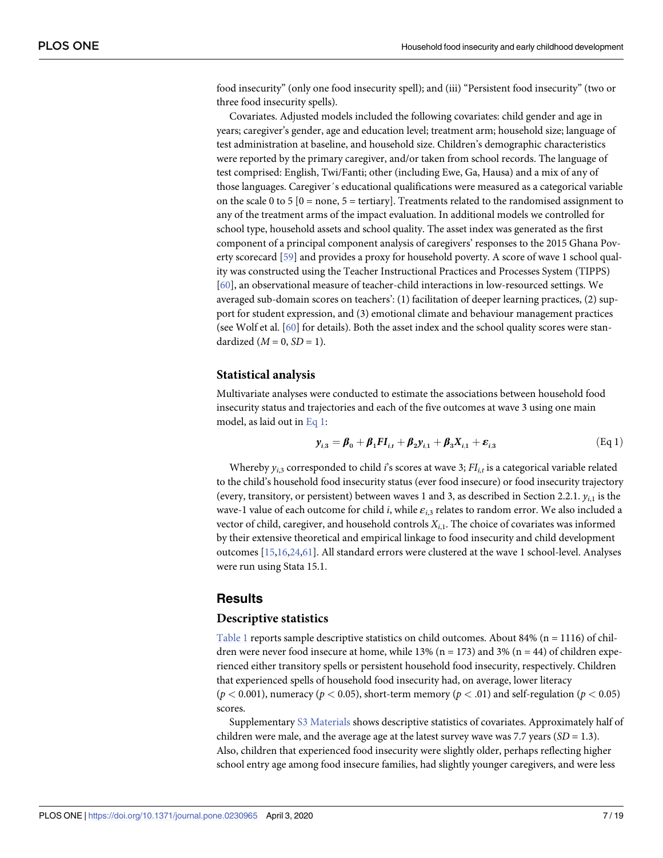<span id="page-8-0"></span>food insecurity" (only one food insecurity spell); and (iii) "Persistent food insecurity" (two or three food insecurity spells).

Covariates. Adjusted models included the following covariates: child gender and age in years; caregiver's gender, age and education level; treatment arm; household size; language of test administration at baseline, and household size. Children's demographic characteristics were reported by the primary caregiver, and/or taken from school records. The language of test comprised: English, Twi/Fanti; other (including Ewe, Ga, Hausa) and a mix of any of those languages. Caregiver´s educational qualifications were measured as a categorical variable on the scale 0 to 5  $[0 = none, 5 = tertiary]$ . Treatments related to the randomised assignment to any of the treatment arms of the impact evaluation. In additional models we controlled for school type, household assets and school quality. The asset index was generated as the first component of a principal component analysis of caregivers' responses to the 2015 Ghana Poverty scorecard [[59](#page-19-0)] and provides a proxy for household poverty. A score of wave 1 school quality was constructed using the Teacher Instructional Practices and Processes System (TIPPS) [\[60\]](#page-19-0), an observational measure of teacher-child interactions in low-resourced settings. We averaged sub-domain scores on teachers': (1) facilitation of deeper learning practices, (2) support for student expression, and (3) emotional climate and behaviour management practices (see Wolf et al. [\[60\]](#page-19-0) for details). Both the asset index and the school quality scores were standardized  $(M = 0, SD = 1)$ .

#### **Statistical analysis**

Multivariate analyses were conducted to estimate the associations between household food insecurity status and trajectories and each of the five outcomes at wave 3 using one main model, as laid out in Eq 1:

$$
y_{i,3} = \beta_0 + \beta_1 F I_{i,t} + \beta_2 y_{i,1} + \beta_3 X_{i,1} + \varepsilon_{i,3}
$$
 (Eq 1)

Whereby  $y_{i,3}$  corresponded to child *i*'s scores at wave 3;  $FI_{i,t}$  is a categorical variable related to the child's household food insecurity status (ever food insecure) or food insecurity trajectory (every, transitory, or persistent) between waves 1 and 3, as described in Section 2.2.1.  $y_{i1}$  is the wave-1 value of each outcome for child *i*, while *εi*,3 relates to random error. We also included a vector of child, caregiver, and household controls *Xi*,1. The choice of covariates was informed by their extensive theoretical and empirical linkage to food insecurity and child development outcomes [\[15,16,24](#page-17-0),[61](#page-19-0)]. All standard errors were clustered at the wave 1 school-level. Analyses were run using Stata 15.1.

#### **Results**

#### **Descriptive statistics**

[Table](#page-9-0) 1 reports sample descriptive statistics on child outcomes. About 84% ( $n = 1116$ ) of children were never food insecure at home, while 13% ( $n = 173$ ) and 3% ( $n = 44$ ) of children experienced either transitory spells or persistent household food insecurity, respectively. Children that experienced spells of household food insecurity had, on average, lower literacy ( $p$  < 0.001), numeracy ( $p$  < 0.05), short-term memory ( $p$  < .01) and self-regulation ( $p$  < 0.05) scores.

Supplementary S3 [Materials](#page-15-0) shows descriptive statistics of covariates. Approximately half of children were male, and the average age at the latest survey wave was 7.7 years (*SD* = 1.3). Also, children that experienced food insecurity were slightly older, perhaps reflecting higher school entry age among food insecure families, had slightly younger caregivers, and were less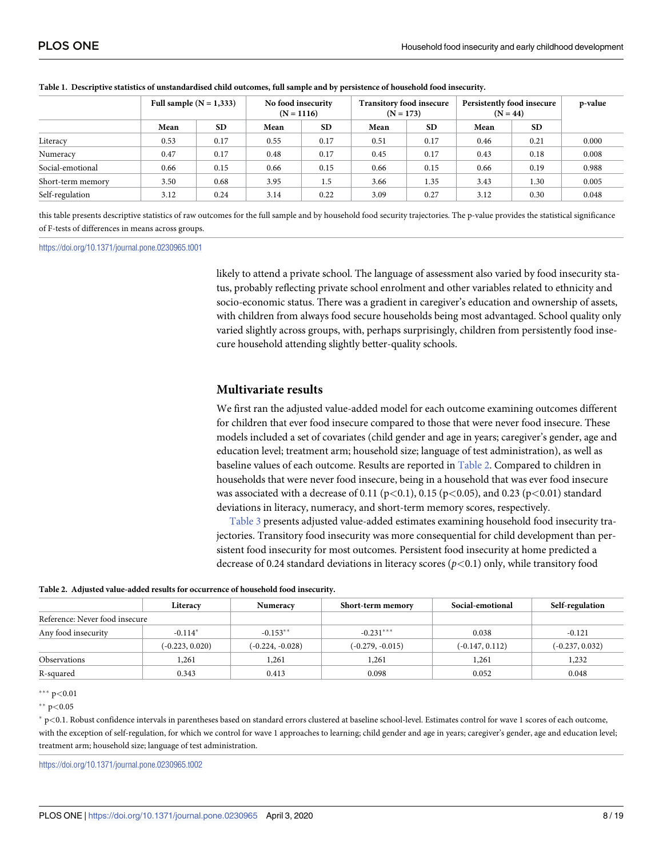|                   | Full sample $(N = 1,333)$ |           | No food insecurity<br>$(N = 1116)$ |           | <b>Transitory food insecure</b><br>$(N = 173)$ |           | Persistently food insecure<br>$(N = 44)$ |           | p-value |
|-------------------|---------------------------|-----------|------------------------------------|-----------|------------------------------------------------|-----------|------------------------------------------|-----------|---------|
|                   | Mean                      | <b>SD</b> | Mean                               | <b>SD</b> | Mean                                           | <b>SD</b> | Mean                                     | <b>SD</b> |         |
| Literacy          | 0.53                      | 0.17      | 0.55                               | 0.17      | 0.51                                           | 0.17      | 0.46                                     | 0.21      | 0.000   |
| Numeracy          | 0.47                      | 0.17      | 0.48                               | 0.17      | 0.45                                           | 0.17      | 0.43                                     | 0.18      | 0.008   |
| Social-emotional  | 0.66                      | 0.15      | 0.66                               | 0.15      | 0.66                                           | 0.15      | 0.66                                     | 0.19      | 0.988   |
| Short-term memory | 3.50                      | 0.68      | 3.95                               | 1.5       | 3.66                                           | 1.35      | 3.43                                     | 1.30      | 0.005   |
| Self-regulation   | 3.12                      | 0.24      | 3.14                               | 0.22      | 3.09                                           | 0.27      | 3.12                                     | 0.30      | 0.048   |

#### <span id="page-9-0"></span>[Table](#page-8-0) 1. Descriptive statistics of unstandardised child outcomes, full sample and by persistence of household food insecurity.

this table presents descriptive statistics of raw outcomes for the full sample and by household food security trajectories. The p-value provides the statistical significance of F-tests of differences in means across groups.

#### <https://doi.org/10.1371/journal.pone.0230965.t001>

likely to attend a private school. The language of assessment also varied by food insecurity status, probably reflecting private school enrolment and other variables related to ethnicity and socio-economic status. There was a gradient in caregiver's education and ownership of assets, with children from always food secure households being most advantaged. School quality only varied slightly across groups, with, perhaps surprisingly, children from persistently food insecure household attending slightly better-quality schools.

#### **Multivariate results**

We first ran the adjusted value-added model for each outcome examining outcomes different for children that ever food insecure compared to those that were never food insecure. These models included a set of covariates (child gender and age in years; caregiver's gender, age and education level; treatment arm; household size; language of test administration), as well as baseline values of each outcome. Results are reported in Table 2. Compared to children in households that were never food insecure, being in a household that was ever food insecure was associated with a decrease of 0.11 (p*<*0.1), 0.15 (p*<*0.05), and 0.23 (p*<*0.01) standard deviations in literacy, numeracy, and short-term memory scores, respectively.

[Table](#page-10-0) 3 presents adjusted value-added estimates examining household food insecurity trajectories. Transitory food insecurity was more consequential for child development than persistent food insecurity for most outcomes. Persistent food insecurity at home predicted a decrease of 0.24 standard deviations in literacy scores (*p<*0.1) only, while transitory food

|  |  |  |  |  | Table 2. Adjusted value-added results for occurrence of household food insecurity. |  |  |
|--|--|--|--|--|------------------------------------------------------------------------------------|--|--|
|--|--|--|--|--|------------------------------------------------------------------------------------|--|--|

|                                | Literacy          | Numeracy           | Short-term memory  | Social-emotional  | Self-regulation   |
|--------------------------------|-------------------|--------------------|--------------------|-------------------|-------------------|
| Reference: Never food insecure |                   |                    |                    |                   |                   |
| Any food insecurity            | $-0.114*$         | $-0.153**$         | $-0.231***$        | 0.038             | $-0.121$          |
|                                | $(-0.223, 0.020)$ | $(-0.224, -0.028)$ | $(-0.279, -0.015)$ | $(-0.147, 0.112)$ | $(-0.237, 0.032)$ |
| <b>Observations</b>            | 1,261             | 1,261              | 1.261              | 1,261             | 1,232             |
| R-squared                      | 0.343             | 0.413              | 0.098              | 0.052             | 0.048             |

��� p*<*0.01

�� p*<*0.05

� p*<*0.1. Robust confidence intervals in parentheses based on standard errors clustered at baseline school-level. Estimates control for wave 1 scores of each outcome, with the exception of self-regulation, for which we control for wave 1 approaches to learning; child gender and age in years; caregiver's gender, age and education level; treatment arm; household size; language of test administration.

<https://doi.org/10.1371/journal.pone.0230965.t002>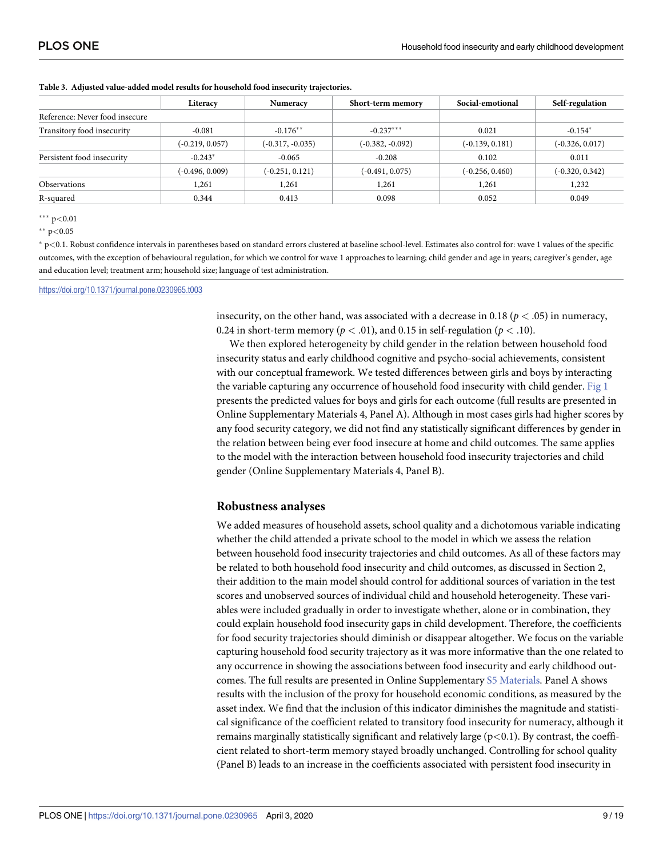|                                | Literacy          | Numeracy           | Short-term memory  | Social-emotional  | Self-regulation   |
|--------------------------------|-------------------|--------------------|--------------------|-------------------|-------------------|
| Reference: Never food insecure |                   |                    |                    |                   |                   |
| Transitory food insecurity     | $-0.081$          | $-0.176**$         | $-0.237***$        | 0.021             | $-0.154*$         |
|                                | $(-0.219, 0.057)$ | $(-0.317, -0.035)$ | $(-0.382, -0.092)$ | $(-0.139, 0.181)$ | $(-0.326, 0.017)$ |
| Persistent food insecurity     | $-0.243*$         | $-0.065$           | $-0.208$           | 0.102             | 0.011             |
|                                | $(-0.496, 0.009)$ | $(-0.251, 0.121)$  | $(-0.491, 0.075)$  | $(-0.256, 0.460)$ | $(-0.320, 0.342)$ |
| Observations                   | 1,261             | 1,261              | 1,261              | 1,261             | 1,232             |
| R-squared                      | 0.344             | 0.413              | 0.098              | 0.052             | 0.049             |

<span id="page-10-0"></span>**[Table](#page-9-0) 3. Adjusted value-added model results for household food insecurity trajectories.**

��� p*<*0.01

�� p*<*0.05

� p*<*0.1. Robust confidence intervals in parentheses based on standard errors clustered at baseline school-level. Estimates also control for: wave 1 values of the specific outcomes, with the exception of behavioural regulation, for which we control for wave 1 approaches to learning; child gender and age in years; caregiver's gender, age and education level; treatment arm; household size; language of test administration.

<https://doi.org/10.1371/journal.pone.0230965.t003>

insecurity, on the other hand, was associated with a decrease in 0.18 ( $p < .05$ ) in numeracy, 0.24 in short-term memory ( $p < .01$ ), and 0.15 in self-regulation ( $p < .10$ ).

We then explored heterogeneity by child gender in the relation between household food insecurity status and early childhood cognitive and psycho-social achievements, consistent with our conceptual framework. We tested differences between girls and boys by interacting the variable capturing any occurrence of household food insecurity with child gender. [Fig](#page-11-0) 1 presents the predicted values for boys and girls for each outcome (full results are presented in Online Supplementary Materials 4, Panel A). Although in most cases girls had higher scores by any food security category, we did not find any statistically significant differences by gender in the relation between being ever food insecure at home and child outcomes. The same applies to the model with the interaction between household food insecurity trajectories and child gender (Online Supplementary Materials 4, Panel B).

#### **Robustness analyses**

We added measures of household assets, school quality and a dichotomous variable indicating whether the child attended a private school to the model in which we assess the relation between household food insecurity trajectories and child outcomes. As all of these factors may be related to both household food insecurity and child outcomes, as discussed in Section 2, their addition to the main model should control for additional sources of variation in the test scores and unobserved sources of individual child and household heterogeneity. These variables were included gradually in order to investigate whether, alone or in combination, they could explain household food insecurity gaps in child development. Therefore, the coefficients for food security trajectories should diminish or disappear altogether. We focus on the variable capturing household food security trajectory as it was more informative than the one related to any occurrence in showing the associations between food insecurity and early childhood outcomes. The full results are presented in Online Supplementary S5 [Materials.](#page-15-0) Panel A shows results with the inclusion of the proxy for household economic conditions, as measured by the asset index. We find that the inclusion of this indicator diminishes the magnitude and statistical significance of the coefficient related to transitory food insecurity for numeracy, although it remains marginally statistically significant and relatively large (p*<*0.1). By contrast, the coefficient related to short-term memory stayed broadly unchanged. Controlling for school quality (Panel B) leads to an increase in the coefficients associated with persistent food insecurity in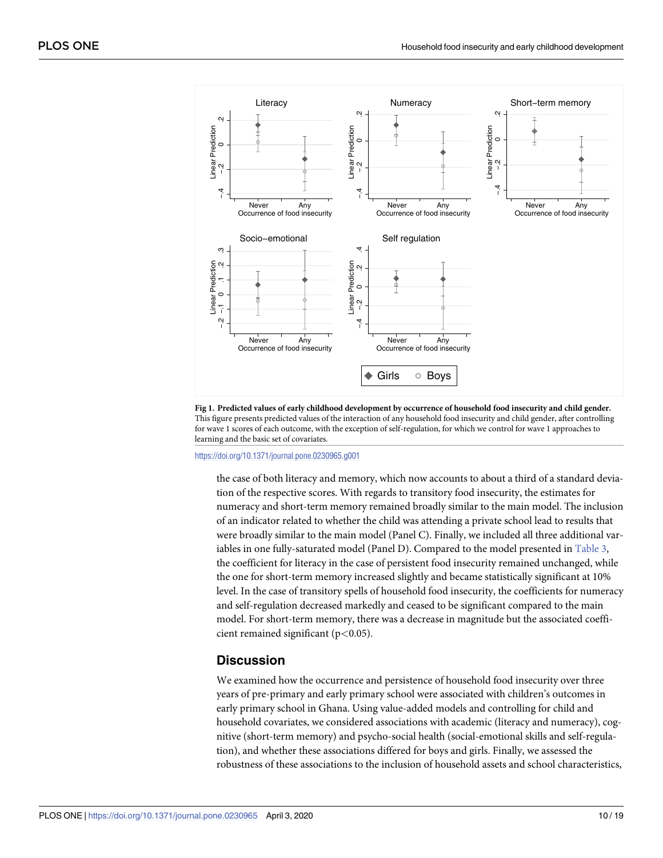<span id="page-11-0"></span>

[Fig](#page-10-0) 1. Predicted values of early childhood development by occurrence of household food insecurity and child gender. This figure presents predicted values of the interaction of any household food insecurity and child gender, after controlling for wave 1 scores of each outcome, with the exception of self-regulation, for which we control for wave 1 approaches to learning and the basic set of covariates.

<https://doi.org/10.1371/journal.pone.0230965.g001>

the case of both literacy and memory, which now accounts to about a third of a standard deviation of the respective scores. With regards to transitory food insecurity, the estimates for numeracy and short-term memory remained broadly similar to the main model. The inclusion of an indicator related to whether the child was attending a private school lead to results that were broadly similar to the main model (Panel C). Finally, we included all three additional variables in one fully-saturated model (Panel D). Compared to the model presented in [Table](#page-10-0) 3, the coefficient for literacy in the case of persistent food insecurity remained unchanged, while the one for short-term memory increased slightly and became statistically significant at 10% level. In the case of transitory spells of household food insecurity, the coefficients for numeracy and self-regulation decreased markedly and ceased to be significant compared to the main model. For short-term memory, there was a decrease in magnitude but the associated coefficient remained significant (p*<*0.05).

## **Discussion**

We examined how the occurrence and persistence of household food insecurity over three years of pre-primary and early primary school were associated with children's outcomes in early primary school in Ghana. Using value-added models and controlling for child and household covariates, we considered associations with academic (literacy and numeracy), cognitive (short-term memory) and psycho-social health (social-emotional skills and self-regulation), and whether these associations differed for boys and girls. Finally, we assessed the robustness of these associations to the inclusion of household assets and school characteristics,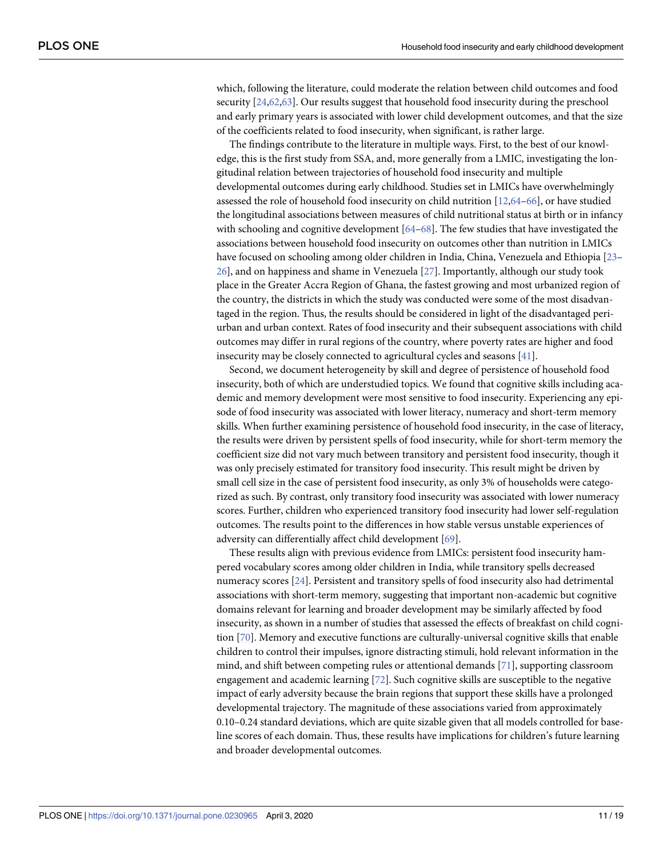<span id="page-12-0"></span>which, following the literature, could moderate the relation between child outcomes and food security [[24](#page-17-0),[62,63\]](#page-19-0). Our results suggest that household food insecurity during the preschool and early primary years is associated with lower child development outcomes, and that the size of the coefficients related to food insecurity, when significant, is rather large.

The findings contribute to the literature in multiple ways. First, to the best of our knowledge, this is the first study from SSA, and, more generally from a LMIC, investigating the longitudinal relation between trajectories of household food insecurity and multiple developmental outcomes during early childhood. Studies set in LMICs have overwhelmingly assessed the role of household food insecurity on child nutrition [[12](#page-16-0),[64–66\]](#page-19-0), or have studied the longitudinal associations between measures of child nutritional status at birth or in infancy with schooling and cognitive development [\[64–68](#page-19-0)]. The few studies that have investigated the associations between household food insecurity on outcomes other than nutrition in LMICs have focused on schooling among older children in India, China, Venezuela and Ethiopia [[23](#page-17-0)– [26\]](#page-17-0), and on happiness and shame in Venezuela [[27](#page-17-0)]. Importantly, although our study took place in the Greater Accra Region of Ghana, the fastest growing and most urbanized region of the country, the districts in which the study was conducted were some of the most disadvantaged in the region. Thus, the results should be considered in light of the disadvantaged periurban and urban context. Rates of food insecurity and their subsequent associations with child outcomes may differ in rural regions of the country, where poverty rates are higher and food insecurity may be closely connected to agricultural cycles and seasons [[41](#page-18-0)].

Second, we document heterogeneity by skill and degree of persistence of household food insecurity, both of which are understudied topics. We found that cognitive skills including academic and memory development were most sensitive to food insecurity. Experiencing any episode of food insecurity was associated with lower literacy, numeracy and short-term memory skills. When further examining persistence of household food insecurity, in the case of literacy, the results were driven by persistent spells of food insecurity, while for short-term memory the coefficient size did not vary much between transitory and persistent food insecurity, though it was only precisely estimated for transitory food insecurity. This result might be driven by small cell size in the case of persistent food insecurity, as only 3% of households were categorized as such. By contrast, only transitory food insecurity was associated with lower numeracy scores. Further, children who experienced transitory food insecurity had lower self-regulation outcomes. The results point to the differences in how stable versus unstable experiences of adversity can differentially affect child development [[69](#page-19-0)].

These results align with previous evidence from LMICs: persistent food insecurity hampered vocabulary scores among older children in India, while transitory spells decreased numeracy scores [\[24\]](#page-17-0). Persistent and transitory spells of food insecurity also had detrimental associations with short-term memory, suggesting that important non-academic but cognitive domains relevant for learning and broader development may be similarly affected by food insecurity, as shown in a number of studies that assessed the effects of breakfast on child cognition [[70](#page-19-0)]. Memory and executive functions are culturally-universal cognitive skills that enable children to control their impulses, ignore distracting stimuli, hold relevant information in the mind, and shift between competing rules or attentional demands [[71](#page-19-0)], supporting classroom engagement and academic learning [\[72\]](#page-19-0). Such cognitive skills are susceptible to the negative impact of early adversity because the brain regions that support these skills have a prolonged developmental trajectory. The magnitude of these associations varied from approximately 0.10–0.24 standard deviations, which are quite sizable given that all models controlled for baseline scores of each domain. Thus, these results have implications for children's future learning and broader developmental outcomes.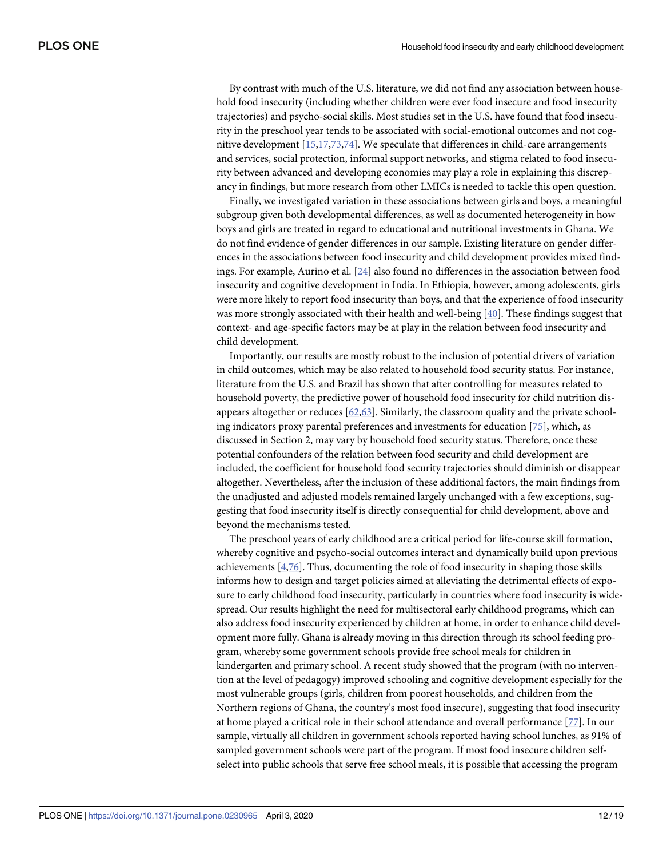<span id="page-13-0"></span>By contrast with much of the U.S. literature, we did not find any association between household food insecurity (including whether children were ever food insecure and food insecurity trajectories) and psycho-social skills. Most studies set in the U.S. have found that food insecurity in the preschool year tends to be associated with social-emotional outcomes and not cognitive development [\[15,17,](#page-17-0)[73](#page-19-0),[74](#page-19-0)]. We speculate that differences in child-care arrangements and services, social protection, informal support networks, and stigma related to food insecurity between advanced and developing economies may play a role in explaining this discrepancy in findings, but more research from other LMICs is needed to tackle this open question.

Finally, we investigated variation in these associations between girls and boys, a meaningful subgroup given both developmental differences, as well as documented heterogeneity in how boys and girls are treated in regard to educational and nutritional investments in Ghana. We do not find evidence of gender differences in our sample. Existing literature on gender differences in the associations between food insecurity and child development provides mixed findings. For example, Aurino et al. [\[24\]](#page-17-0) also found no differences in the association between food insecurity and cognitive development in India. In Ethiopia, however, among adolescents, girls were more likely to report food insecurity than boys, and that the experience of food insecurity was more strongly associated with their health and well-being [\[40\]](#page-18-0). These findings suggest that context- and age-specific factors may be at play in the relation between food insecurity and child development.

Importantly, our results are mostly robust to the inclusion of potential drivers of variation in child outcomes, which may be also related to household food security status. For instance, literature from the U.S. and Brazil has shown that after controlling for measures related to household poverty, the predictive power of household food insecurity for child nutrition disappears altogether or reduces [\[62,63](#page-19-0)]. Similarly, the classroom quality and the private schooling indicators proxy parental preferences and investments for education [\[75\]](#page-20-0), which, as discussed in Section 2, may vary by household food security status. Therefore, once these potential confounders of the relation between food security and child development are included, the coefficient for household food security trajectories should diminish or disappear altogether. Nevertheless, after the inclusion of these additional factors, the main findings from the unadjusted and adjusted models remained largely unchanged with a few exceptions, suggesting that food insecurity itself is directly consequential for child development, above and beyond the mechanisms tested.

The preschool years of early childhood are a critical period for life-course skill formation, whereby cognitive and psycho-social outcomes interact and dynamically build upon previous achievements [[4](#page-16-0),[76](#page-20-0)]. Thus, documenting the role of food insecurity in shaping those skills informs how to design and target policies aimed at alleviating the detrimental effects of exposure to early childhood food insecurity, particularly in countries where food insecurity is widespread. Our results highlight the need for multisectoral early childhood programs, which can also address food insecurity experienced by children at home, in order to enhance child development more fully. Ghana is already moving in this direction through its school feeding program, whereby some government schools provide free school meals for children in kindergarten and primary school. A recent study showed that the program (with no intervention at the level of pedagogy) improved schooling and cognitive development especially for the most vulnerable groups (girls, children from poorest households, and children from the Northern regions of Ghana, the country's most food insecure), suggesting that food insecurity at home played a critical role in their school attendance and overall performance [[77](#page-20-0)]. In our sample, virtually all children in government schools reported having school lunches, as 91% of sampled government schools were part of the program. If most food insecure children selfselect into public schools that serve free school meals, it is possible that accessing the program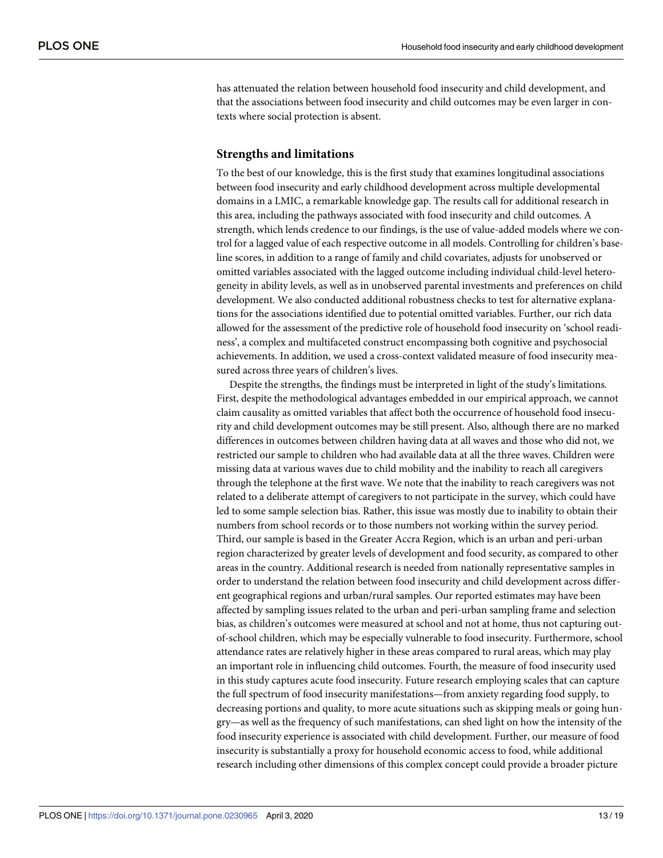has attenuated the relation between household food insecurity and child development, and that the associations between food insecurity and child outcomes may be even larger in contexts where social protection is absent.

#### **Strengths and limitations**

To the best of our knowledge, this is the first study that examines longitudinal associations between food insecurity and early childhood development across multiple developmental domains in a LMIC, a remarkable knowledge gap. The results call for additional research in this area, including the pathways associated with food insecurity and child outcomes. A strength, which lends credence to our findings, is the use of value-added models where we control for a lagged value of each respective outcome in all models. Controlling for children's baseline scores, in addition to a range of family and child covariates, adjusts for unobserved or omitted variables associated with the lagged outcome including individual child-level heterogeneity in ability levels, as well as in unobserved parental investments and preferences on child development. We also conducted additional robustness checks to test for alternative explanations for the associations identified due to potential omitted variables. Further, our rich data allowed for the assessment of the predictive role of household food insecurity on 'school readiness', a complex and multifaceted construct encompassing both cognitive and psychosocial achievements. In addition, we used a cross-context validated measure of food insecurity measured across three years of children's lives.

Despite the strengths, the findings must be interpreted in light of the study's limitations. First, despite the methodological advantages embedded in our empirical approach, we cannot claim causality as omitted variables that affect both the occurrence of household food insecurity and child development outcomes may be still present. Also, although there are no marked differences in outcomes between children having data at all waves and those who did not, we restricted our sample to children who had available data at all the three waves. Children were missing data at various waves due to child mobility and the inability to reach all caregivers through the telephone at the first wave. We note that the inability to reach caregivers was not related to a deliberate attempt of caregivers to not participate in the survey, which could have led to some sample selection bias. Rather, this issue was mostly due to inability to obtain their numbers from school records or to those numbers not working within the survey period. Third, our sample is based in the Greater Accra Region, which is an urban and peri-urban region characterized by greater levels of development and food security, as compared to other areas in the country. Additional research is needed from nationally representative samples in order to understand the relation between food insecurity and child development across different geographical regions and urban/rural samples. Our reported estimates may have been affected by sampling issues related to the urban and peri-urban sampling frame and selection bias, as children's outcomes were measured at school and not at home, thus not capturing outof-school children, which may be especially vulnerable to food insecurity. Furthermore, school attendance rates are relatively higher in these areas compared to rural areas, which may play an important role in influencing child outcomes. Fourth, the measure of food insecurity used in this study captures acute food insecurity. Future research employing scales that can capture the full spectrum of food insecurity manifestations—from anxiety regarding food supply, to decreasing portions and quality, to more acute situations such as skipping meals or going hungry—as well as the frequency of such manifestations, can shed light on how the intensity of the food insecurity experience is associated with child development. Further, our measure of food insecurity is substantially a proxy for household economic access to food, while additional research including other dimensions of this complex concept could provide a broader picture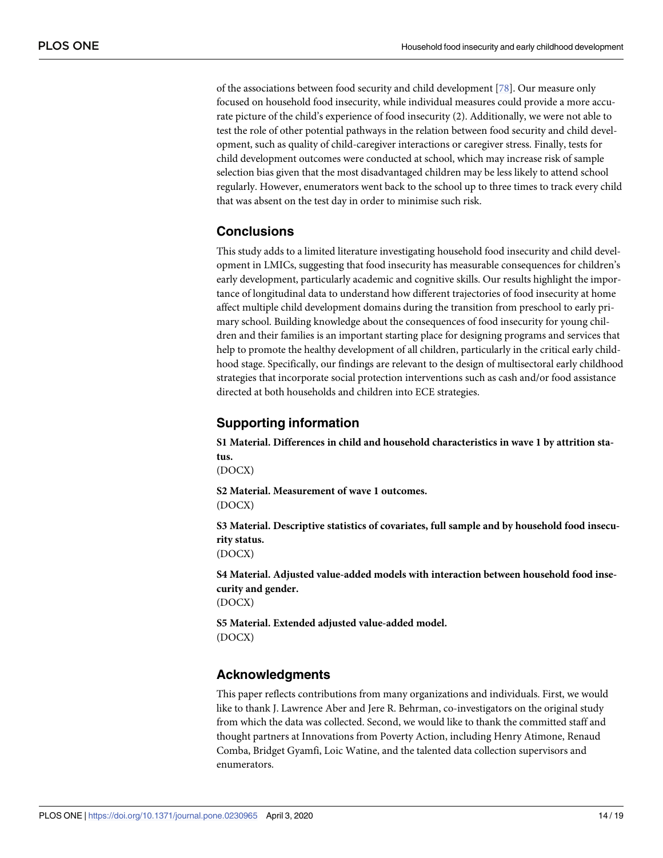<span id="page-15-0"></span>of the associations between food security and child development [[78](#page-20-0)]. Our measure only focused on household food insecurity, while individual measures could provide a more accurate picture of the child's experience of food insecurity (2). Additionally, we were not able to test the role of other potential pathways in the relation between food security and child development, such as quality of child-caregiver interactions or caregiver stress. Finally, tests for child development outcomes were conducted at school, which may increase risk of sample selection bias given that the most disadvantaged children may be less likely to attend school regularly. However, enumerators went back to the school up to three times to track every child that was absent on the test day in order to minimise such risk.

# **Conclusions**

This study adds to a limited literature investigating household food insecurity and child development in LMICs, suggesting that food insecurity has measurable consequences for children's early development, particularly academic and cognitive skills. Our results highlight the importance of longitudinal data to understand how different trajectories of food insecurity at home affect multiple child development domains during the transition from preschool to early primary school. Building knowledge about the consequences of food insecurity for young children and their families is an important starting place for designing programs and services that help to promote the healthy development of all children, particularly in the critical early childhood stage. Specifically, our findings are relevant to the design of multisectoral early childhood strategies that incorporate social protection interventions such as cash and/or food assistance directed at both households and children into ECE strategies.

# **Supporting information**

**S1 [Material.](http://www.plosone.org/article/fetchSingleRepresentation.action?uri=info:doi/10.1371/journal.pone.0230965.s001) Differences in child and household characteristics in wave 1 by attrition status.**

(DOCX)

**S2 [Material.](http://www.plosone.org/article/fetchSingleRepresentation.action?uri=info:doi/10.1371/journal.pone.0230965.s002) Measurement of wave 1 outcomes.** (DOCX)

**S3 [Material.](http://www.plosone.org/article/fetchSingleRepresentation.action?uri=info:doi/10.1371/journal.pone.0230965.s003) Descriptive statistics of covariates, full sample and by household food insecurity status.**

(DOCX)

**S4 [Material.](http://www.plosone.org/article/fetchSingleRepresentation.action?uri=info:doi/10.1371/journal.pone.0230965.s004) Adjusted value-added models with interaction between household food insecurity and gender.**

(DOCX)

**S5 [Material.](http://www.plosone.org/article/fetchSingleRepresentation.action?uri=info:doi/10.1371/journal.pone.0230965.s005) Extended adjusted value-added model.** (DOCX)

# **Acknowledgments**

This paper reflects contributions from many organizations and individuals. First, we would like to thank J. Lawrence Aber and Jere R. Behrman, co-investigators on the original study from which the data was collected. Second, we would like to thank the committed staff and thought partners at Innovations from Poverty Action, including Henry Atimone, Renaud Comba, Bridget Gyamfi, Loic Watine, and the talented data collection supervisors and enumerators.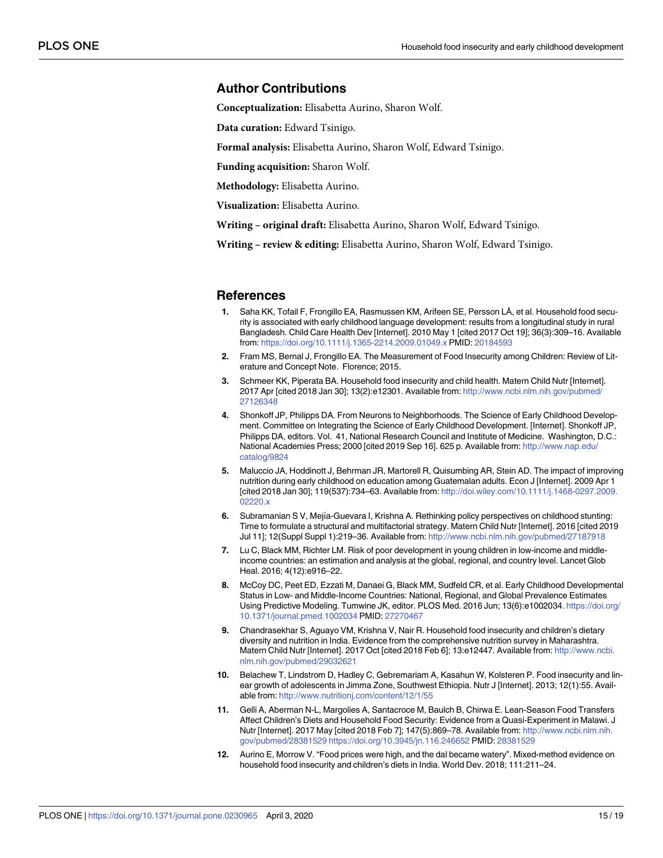#### <span id="page-16-0"></span>**Author Contributions**

**Conceptualization:** Elisabetta Aurino, Sharon Wolf.

**Data curation:** Edward Tsinigo.

**Formal analysis:** Elisabetta Aurino, Sharon Wolf, Edward Tsinigo.

**Funding acquisition:** Sharon Wolf.

**Methodology:** Elisabetta Aurino.

**Visualization:** Elisabetta Aurino.

**Writing – original draft:** Elisabetta Aurino, Sharon Wolf, Edward Tsinigo.

**Writing – review & editing:** Elisabetta Aurino, Sharon Wolf, Edward Tsinigo.

#### **References**

- **[1](#page-3-0).** Saha KK, Tofail F, Frongillo EA, Rasmussen KM, Arifeen SE, Persson LÅ, et al. Household food security is associated with early childhood language development: results from a longitudinal study in rural Bangladesh. Child Care Health Dev [Internet]. 2010 May 1 [cited 2017 Oct 19]; 36(3):309–16. Available from: <https://doi.org/10.1111/j.1365-2214.2009.01049.x> PMID: [20184593](http://www.ncbi.nlm.nih.gov/pubmed/20184593)
- **2.** Fram MS, Bernal J, Frongillo EA. The Measurement of Food Insecurity among Children: Review of Literature and Concept Note. Florence; 2015.
- **[3](#page-3-0).** Schmeer KK, Piperata BA. Household food insecurity and child health. Matern Child Nutr [Internet]. 2017 Apr [cited 2018 Jan 30]; 13(2):e12301. Available from: [http://www.ncbi.nlm.nih.gov/pubmed/](http://www.ncbi.nlm.nih.gov/pubmed/27126348) [27126348](http://www.ncbi.nlm.nih.gov/pubmed/27126348)
- **[4](#page-3-0).** Shonkoff JP, Philipps DA. From Neurons to Neighborhoods. The Science of Early Childhood Development. Committee on Integrating the Science of Early Childhood Development. [Internet]. Shonkoff JP, Philipps DA, editors. Vol. 41, National Research Council and Institute of Medicine. Washington, D.C.: National Academies Press; 2000 [cited 2019 Sep 16]. 625 p. Available from: [http://www.nap.edu/](http://www.nap.edu/catalog/9824) [catalog/9824](http://www.nap.edu/catalog/9824)
- **[5](#page-3-0).** Maluccio JA, Hoddinott J, Behrman JR, Martorell R, Quisumbing AR, Stein AD. The impact of improving nutrition during early childhood on education among Guatemalan adults. Econ J [Internet]. 2009 Apr 1 [cited 2018 Jan 30]; 119(537):734–63. Available from: [http://doi.wiley.com/10.1111/j.1468-0297.2009.](http://doi.wiley.com/10.1111/j.1468-0297.2009.02220.x) [02220.x](http://doi.wiley.com/10.1111/j.1468-0297.2009.02220.x)
- **[6](#page-3-0).** Subramanian S V, Mejía-Guevara I, Krishna A. Rethinking policy perspectives on childhood stunting: Time to formulate a structural and multifactorial strategy. Matern Child Nutr [Internet]. 2016 [cited 2019 Jul 11]; 12(Suppl Suppl 1):219–36. Available from: <http://www.ncbi.nlm.nih.gov/pubmed/27187918>
- **[7](#page-3-0).** Lu C, Black MM, Richter LM. Risk of poor development in young children in low-income and middleincome countries: an estimation and analysis at the global, regional, and country level. Lancet Glob Heal. 2016; 4(12):e916–22.
- **[8](#page-3-0).** McCoy DC, Peet ED, Ezzati M, Danaei G, Black MM, Sudfeld CR, et al. Early Childhood Developmental Status in Low- and Middle-Income Countries: National, Regional, and Global Prevalence Estimates Using Predictive Modeling. Tumwine JK, editor. PLOS Med. 2016 Jun; 13(6):e1002034. [https://doi.org/](https://doi.org/10.1371/journal.pmed.1002034) [10.1371/journal.pmed.1002034](https://doi.org/10.1371/journal.pmed.1002034) PMID: [27270467](http://www.ncbi.nlm.nih.gov/pubmed/27270467)
- **[9](#page-3-0).** Chandrasekhar S, Aguayo VM, Krishna V, Nair R. Household food insecurity and children's dietary diversity and nutrition in India. Evidence from the comprehensive nutrition survey in Maharashtra. Matern Child Nutr [Internet]. 2017 Oct [cited 2018 Feb 6]; 13:e12447. Available from: [http://www.ncbi.](http://www.ncbi.nlm.nih.gov/pubmed/29032621) [nlm.nih.gov/pubmed/29032621](http://www.ncbi.nlm.nih.gov/pubmed/29032621)
- **10.** Belachew T, Lindstrom D, Hadley C, Gebremariam A, Kasahun W, Kolsteren P. Food insecurity and linear growth of adolescents in Jimma Zone, Southwest Ethiopia. Nutr J [Internet]. 2013; 12(1):55. Available from: <http://www.nutritionj.com/content/12/1/55>
- **11.** Gelli A, Aberman N-L, Margolies A, Santacroce M, Baulch B, Chirwa E. Lean-Season Food Transfers Affect Children's Diets and Household Food Security: Evidence from a Quasi-Experiment in Malawi. J Nutr [Internet]. 2017 May [cited 2018 Feb 7]; 147(5):869–78. Available from: [http://www.ncbi.nlm.nih.](http://www.ncbi.nlm.nih.gov/pubmed/28381529) [gov/pubmed/28381529](http://www.ncbi.nlm.nih.gov/pubmed/28381529) <https://doi.org/10.3945/jn.116.246652> PMID: [28381529](http://www.ncbi.nlm.nih.gov/pubmed/28381529)
- **[12](#page-4-0).** Aurino E, Morrow V. "Food prices were high, and the dal became watery". Mixed-method evidence on household food insecurity and children's diets in India. World Dev. 2018; 111:211–24.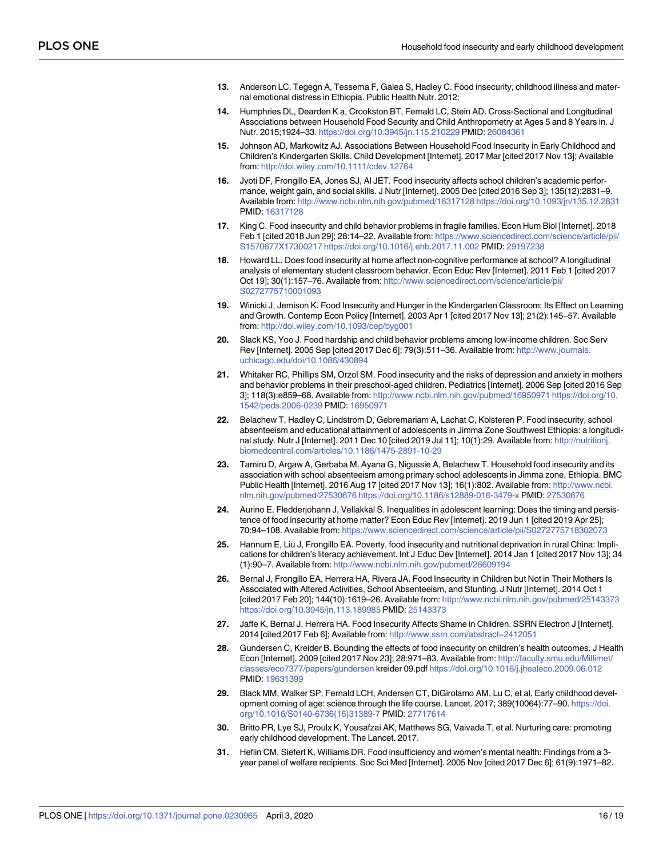- <span id="page-17-0"></span>**13.** Anderson LC, Tegegn A, Tessema F, Galea S, Hadley C. Food insecurity, childhood illness and maternal emotional distress in Ethiopia. Public Health Nutr. 2012;
- **[14](#page-3-0).** Humphries DL, Dearden K a, Crookston BT, Fernald LC, Stein AD. Cross-Sectional and Longitudinal Associations between Household Food Security and Child Anthropometry at Ages 5 and 8 Years in. J Nutr. 2015;1924–33. <https://doi.org/10.3945/jn.115.210229> PMID: [26084361](http://www.ncbi.nlm.nih.gov/pubmed/26084361)
- **[15](#page-3-0).** Johnson AD, Markowitz AJ. Associations Between Household Food Insecurity in Early Childhood and Children's Kindergarten Skills. Child Development [Internet]. 2017 Mar [cited 2017 Nov 13]; Available from: <http://doi.wiley.com/10.1111/cdev.12764>
- **[16](#page-3-0).** Jyoti DF, Frongillo EA, Jones SJ, Al JET. Food insecurity affects school children's academic performance, weight gain, and social skills. J Nutr [Internet]. 2005 Dec [cited 2016 Sep 3]; 135(12):2831–9. Available from: <http://www.ncbi.nlm.nih.gov/pubmed/16317128> <https://doi.org/10.1093/jn/135.12.2831> PMID: [16317128](http://www.ncbi.nlm.nih.gov/pubmed/16317128)
- **[17](#page-3-0).** King C. Food insecurity and child behavior problems in fragile families. Econ Hum Biol [Internet]. 2018 Feb 1 [cited 2018 Jun 29]; 28:14–22. Available from: [https://www.sciencedirect.com/science/article/pii/](https://www.sciencedirect.com/science/article/pii/S1570677X17300217) [S1570677X17300217](https://www.sciencedirect.com/science/article/pii/S1570677X17300217) <https://doi.org/10.1016/j.ehb.2017.11.002> PMID: [29197238](http://www.ncbi.nlm.nih.gov/pubmed/29197238)
- **[18](#page-4-0).** Howard LL. Does food insecurity at home affect non-cognitive performance at school? A longitudinal analysis of elementary student classroom behavior. Econ Educ Rev [Internet]. 2011 Feb 1 [cited 2017 Oct 19]; 30(1):157–76. Available from: [http://www.sciencedirect.com/science/article/pii/](http://www.sciencedirect.com/science/article/pii/S0272775710001093) [S0272775710001093](http://www.sciencedirect.com/science/article/pii/S0272775710001093)
- **[19](#page-3-0).** Winicki J, Jemison K. Food Insecurity and Hunger in the Kindergarten Classroom: Its Effect on Learning and Growth. Contemp Econ Policy [Internet]. 2003 Apr 1 [cited 2017 Nov 13]; 21(2):145–57. Available from: <http://doi.wiley.com/10.1093/cep/byg001>
- **[20](#page-3-0).** Slack KS, Yoo J. Food hardship and child behavior problems among low-income children. Soc Serv Rev [Internet]. 2005 Sep [cited 2017 Dec 6]; 79(3):511–36. Available from: [http://www.journals.](http://www.journals.uchicago.edu/doi/10.1086/430894) [uchicago.edu/doi/10.1086/430894](http://www.journals.uchicago.edu/doi/10.1086/430894)
- **[21](#page-3-0).** Whitaker RC, Phillips SM, Orzol SM. Food insecurity and the risks of depression and anxiety in mothers and behavior problems in their preschool-aged children. Pediatrics [Internet]. 2006 Sep [cited 2016 Sep 3]; 118(3):e859–68. Available from: <http://www.ncbi.nlm.nih.gov/pubmed/16950971> [https://doi.org/10.](https://doi.org/10.1542/peds.2006-0239) [1542/peds.2006-0239](https://doi.org/10.1542/peds.2006-0239) PMID: [16950971](http://www.ncbi.nlm.nih.gov/pubmed/16950971)
- **[22](#page-3-0).** Belachew T, Hadley C, Lindstrom D, Gebremariam A, Lachat C, Kolsteren P. Food insecurity, school absenteeism and educational attainment of adolescents in Jimma Zone Southwest Ethiopia: a longitudinal study. Nutr J [Internet]. 2011 Dec 10 [cited 2019 Jul 11]; 10(1):29. Available from: [http://nutritionj.](http://nutritionj.biomedcentral.com/articles/10.1186/1475-2891-10-29) [biomedcentral.com/articles/10.1186/1475-2891-10-29](http://nutritionj.biomedcentral.com/articles/10.1186/1475-2891-10-29)
- **[23](#page-3-0).** Tamiru D, Argaw A, Gerbaba M, Ayana G, Nigussie A, Belachew T. Household food insecurity and its association with school absenteeism among primary school adolescents in Jimma zone, Ethiopia. BMC Public Health [Internet]. 2016 Aug 17 [cited 2017 Nov 13]; 16(1):802. Available from: [http://www.ncbi.](http://www.ncbi.nlm.nih.gov/pubmed/27530676) [nlm.nih.gov/pubmed/27530676](http://www.ncbi.nlm.nih.gov/pubmed/27530676) <https://doi.org/10.1186/s12889-016-3479-x> PMID: [27530676](http://www.ncbi.nlm.nih.gov/pubmed/27530676)
- **[24](#page-3-0).** Aurino E, Fledderjohann J, Vellakkal S. Inequalities in adolescent learning: Does the timing and persistence of food insecurity at home matter? Econ Educ Rev [Internet]. 2019 Jun 1 [cited 2019 Apr 25]; 70:94–108. Available from: <https://www.sciencedirect.com/science/article/pii/S0272775718302073>
- **[25](#page-4-0).** Hannum E, Liu J, Frongillo EA. Poverty, food insecurity and nutritional deprivation in rural China: Implications for children's literacy achievement. Int J Educ Dev [Internet]. 2014 Jan 1 [cited 2017 Nov 13]; 34 (1):90–7. Available from: <http://www.ncbi.nlm.nih.gov/pubmed/26609194>
- **[26](#page-4-0).** Bernal J, Frongillo EA, Herrera HA, Rivera JA. Food Insecurity in Children but Not in Their Mothers Is Associated with Altered Activities, School Absenteeism, and Stunting. J Nutr [Internet]. 2014 Oct 1 [cited 2017 Feb 20]; 144(10):1619–26. Available from: <http://www.ncbi.nlm.nih.gov/pubmed/25143373> <https://doi.org/10.3945/jn.113.189985> PMID: [25143373](http://www.ncbi.nlm.nih.gov/pubmed/25143373)
- **[27](#page-4-0).** Jaffe K, Bernal J, Herrera HA. Food Insecurity Affects Shame in Children. SSRN Electron J [Internet]. 2014 [cited 2017 Feb 6]; Available from: <http://www.ssrn.com/abstract=2412051>
- **[28](#page-4-0).** Gundersen C, Kreider B. Bounding the effects of food insecurity on children's health outcomes. J Health Econ [Internet]. 2009 [cited 2017 Nov 23]; 28:971–83. Available from: [http://faculty.smu.edu/Millimet/](http://faculty.smu.edu/Millimet/classes/eco7377/papers/gundersen) [classes/eco7377/papers/gundersen](http://faculty.smu.edu/Millimet/classes/eco7377/papers/gundersen) kreider 09.pdf <https://doi.org/10.1016/j.jhealeco.2009.06.012> PMID: [19631399](http://www.ncbi.nlm.nih.gov/pubmed/19631399)
- **[29](#page-4-0).** Black MM, Walker SP, Fernald LCH, Andersen CT, DiGirolamo AM, Lu C, et al. Early childhood development coming of age: science through the life course. Lancet. 2017; 389(10064):77–90. [https://doi.](https://doi.org/10.1016/S0140-6736(16)31389-7) [org/10.1016/S0140-6736\(16\)31389-7](https://doi.org/10.1016/S0140-6736(16)31389-7) PMID: [27717614](http://www.ncbi.nlm.nih.gov/pubmed/27717614)
- **[30](#page-4-0).** Britto PR, Lye SJ, Proulx K, Yousafzai AK, Matthews SG, Vaivada T, et al. Nurturing care: promoting early childhood development. The Lancet. 2017.
- **[31](#page-4-0).** Heflin CM, Siefert K, Williams DR. Food insufficiency and women's mental health: Findings from a 3 year panel of welfare recipients. Soc Sci Med [Internet]. 2005 Nov [cited 2017 Dec 6]; 61(9):1971–82.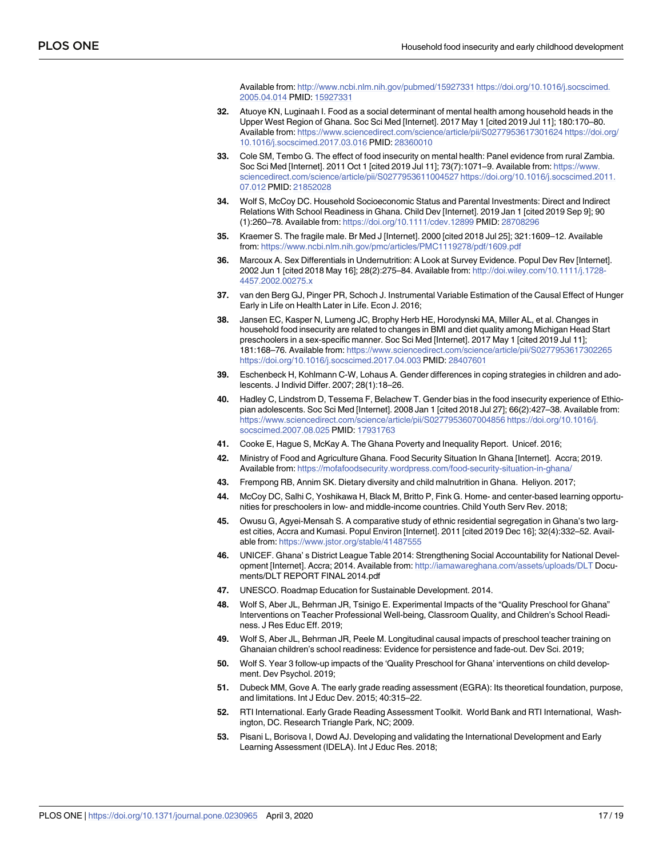Available from: <http://www.ncbi.nlm.nih.gov/pubmed/15927331> [https://doi.org/10.1016/j.socscimed.](https://doi.org/10.1016/j.socscimed.2005.04.014) [2005.04.014](https://doi.org/10.1016/j.socscimed.2005.04.014) PMID: [15927331](http://www.ncbi.nlm.nih.gov/pubmed/15927331)

- <span id="page-18-0"></span>**[32](#page-4-0).** Atuoye KN, Luginaah I. Food as a social determinant of mental health among household heads in the Upper West Region of Ghana. Soc Sci Med [Internet]. 2017 May 1 [cited 2019 Jul 11]; 180:170–80. Available from: <https://www.sciencedirect.com/science/article/pii/S0277953617301624> [https://doi.org/](https://doi.org/10.1016/j.socscimed.2017.03.016) [10.1016/j.socscimed.2017.03.016](https://doi.org/10.1016/j.socscimed.2017.03.016) PMID: [28360010](http://www.ncbi.nlm.nih.gov/pubmed/28360010)
- **[33](#page-4-0).** Cole SM, Tembo G. The effect of food insecurity on mental health: Panel evidence from rural Zambia. Soc Sci Med [Internet]. 2011 Oct 1 [cited 2019 Jul 11]; 73(7):1071–9. Available from: [https://www.](https://www.sciencedirect.com/science/article/pii/S0277953611004527) [sciencedirect.com/science/article/pii/S0277953611004527](https://www.sciencedirect.com/science/article/pii/S0277953611004527) [https://doi.org/10.1016/j.socscimed.2011.](https://doi.org/10.1016/j.socscimed.2011.07.012) [07.012](https://doi.org/10.1016/j.socscimed.2011.07.012) PMID: [21852028](http://www.ncbi.nlm.nih.gov/pubmed/21852028)
- **[34](#page-4-0).** Wolf S, McCoy DC. Household Socioeconomic Status and Parental Investments: Direct and Indirect Relations With School Readiness in Ghana. Child Dev [Internet]. 2019 Jan 1 [cited 2019 Sep 9]; 90 (1):260–78. Available from: <https://doi.org/10.1111/cdev.12899> PMID: [28708296](http://www.ncbi.nlm.nih.gov/pubmed/28708296)
- **[35](#page-4-0).** Kraemer S. The fragile male. Br Med J [Internet]. 2000 [cited 2018 Jul 25]; 321:1609–12. Available from: <https://www.ncbi.nlm.nih.gov/pmc/articles/PMC1119278/pdf/1609.pdf>
- **36.** Marcoux A. Sex Differentials in Undernutrition: A Look at Survey Evidence. Popul Dev Rev [Internet]. 2002 Jun 1 [cited 2018 May 16]; 28(2):275–84. Available from: [http://doi.wiley.com/10.1111/j.1728-](http://doi.wiley.com/10.1111/j.1728-4457.2002.00275.x) [4457.2002.00275.x](http://doi.wiley.com/10.1111/j.1728-4457.2002.00275.x)
- **[37](#page-4-0).** van den Berg GJ, Pinger PR, Schoch J. Instrumental Variable Estimation of the Causal Effect of Hunger Early in Life on Health Later in Life. Econ J. 2016;
- **[38](#page-4-0).** Jansen EC, Kasper N, Lumeng JC, Brophy Herb HE, Horodynski MA, Miller AL, et al. Changes in household food insecurity are related to changes in BMI and diet quality among Michigan Head Start preschoolers in a sex-specific manner. Soc Sci Med [Internet]. 2017 May 1 [cited 2019 Jul 11]; 181:168–76. Available from: <https://www.sciencedirect.com/science/article/pii/S0277953617302265> <https://doi.org/10.1016/j.socscimed.2017.04.003> PMID: [28407601](http://www.ncbi.nlm.nih.gov/pubmed/28407601)
- **[39](#page-5-0).** Eschenbeck H, Kohlmann C-W, Lohaus A. Gender differences in coping strategies in children and adolescents. J Individ Differ. 2007; 28(1):18–26.
- **[40](#page-5-0).** Hadley C, Lindstrom D, Tessema F, Belachew T. Gender bias in the food insecurity experience of Ethiopian adolescents. Soc Sci Med [Internet]. 2008 Jan 1 [cited 2018 Jul 27]; 66(2):427–38. Available from: <https://www.sciencedirect.com/science/article/pii/S0277953607004856> [https://doi.org/10.1016/j.](https://doi.org/10.1016/j.socscimed.2007.08.025) [socscimed.2007.08.025](https://doi.org/10.1016/j.socscimed.2007.08.025) PMID: [17931763](http://www.ncbi.nlm.nih.gov/pubmed/17931763)
- **[41](#page-5-0).** Cooke E, Hague S, McKay A. The Ghana Poverty and Inequality Report. Unicef. 2016;
- **[42](#page-5-0).** Ministry of Food and Agriculture Ghana. Food Security Situation In Ghana [Internet]. Accra; 2019. Available from: <https://mofafoodsecurity.wordpress.com/food-security-situation-in-ghana/>
- **[43](#page-5-0).** Frempong RB, Annim SK. Dietary diversity and child malnutrition in Ghana. Heliyon. 2017;
- **[44](#page-5-0).** McCoy DC, Salhi C, Yoshikawa H, Black M, Britto P, Fink G. Home- and center-based learning opportunities for preschoolers in low- and middle-income countries. Child Youth Serv Rev. 2018;
- **[45](#page-5-0).** Owusu G, Agyei-Mensah S. A comparative study of ethnic residential segregation in Ghana's two largest cities, Accra and Kumasi. Popul Environ [Internet]. 2011 [cited 2019 Dec 16]; 32(4):332–52. Available from: <https://www.jstor.org/stable/41487555>
- **[46](#page-5-0).** UNICEF. Ghana' s District League Table 2014: Strengthening Social Accountability for National Development [Internet]. Accra; 2014. Available from: <http://iamawareghana.com/assets/uploads/DLT> Documents/DLT REPORT FINAL 2014.pdf
- **[47](#page-5-0).** UNESCO. Roadmap Education for Sustainable Development. 2014.
- **[48](#page-5-0).** Wolf S, Aber JL, Behrman JR, Tsinigo E. Experimental Impacts of the "Quality Preschool for Ghana" Interventions on Teacher Professional Well-being, Classroom Quality, and Children's School Readiness. J Res Educ Eff. 2019;
- **49.** Wolf S, Aber JL, Behrman JR, Peele M. Longitudinal causal impacts of preschool teacher training on Ghanaian children's school readiness: Evidence for persistence and fade-out. Dev Sci. 2019;
- **[50](#page-5-0).** Wolf S. Year 3 follow-up impacts of the 'Quality Preschool for Ghana' interventions on child development. Dev Psychol. 2019;
- **[51](#page-6-0).** Dubeck MM, Gove A. The early grade reading assessment (EGRA): Its theoretical foundation, purpose, and limitations. Int J Educ Dev. 2015; 40:315–22.
- **[52](#page-6-0).** RTI International. Early Grade Reading Assessment Toolkit. World Bank and RTI International, Washington, DC. Research Triangle Park, NC; 2009.
- **[53](#page-6-0).** Pisani L, Borisova I, Dowd AJ. Developing and validating the International Development and Early Learning Assessment (IDELA). Int J Educ Res. 2018;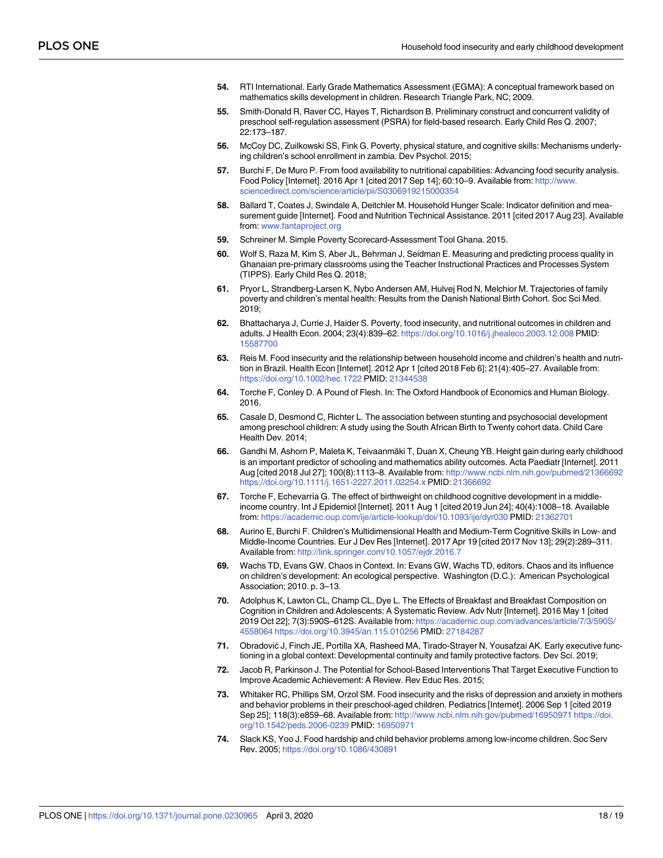- <span id="page-19-0"></span>**[54](#page-6-0).** RTI International. Early Grade Mathematics Assessment (EGMA): A conceptual framework based on mathematics skills development in children. Research Triangle Park, NC; 2009.
- **[55](#page-7-0).** Smith-Donald R, Raver CC, Hayes T, Richardson B. Preliminary construct and concurrent validity of preschool self-regulation assessment (PSRA) for field-based research. Early Child Res Q. 2007; 22:173–187.
- **[56](#page-7-0).** McCoy DC, Zuilkowski SS, Fink G. Poverty, physical stature, and cognitive skills: Mechanisms underlying children's school enrollment in zambia. Dev Psychol. 2015;
- **[57](#page-7-0).** Burchi F, De Muro P. From food availability to nutritional capabilities: Advancing food security analysis. Food Policy [Internet]. 2016 Apr 1 [cited 2017 Sep 14]; 60:10–9. Available from: [http://www.](http://www.sciencedirect.com/science/article/pii/S0306919215000354) [sciencedirect.com/science/article/pii/S0306919215000354](http://www.sciencedirect.com/science/article/pii/S0306919215000354)
- **[58](#page-7-0).** Ballard T, Coates J, Swindale A, Deitchler M. Household Hunger Scale: Indicator definition and measurement guide [Internet]. Food and Nutrition Technical Assistance. 2011 [cited 2017 Aug 23]. Available from: [www.fantaproject.org](http://www.fantaproject.org)
- **[59](#page-8-0).** Schreiner M. Simple Poverty Scorecard-Assessment Tool Ghana. 2015.
- **[60](#page-8-0).** Wolf S, Raza M, Kim S, Aber JL, Behrman J, Seidman E. Measuring and predicting process quality in Ghanaian pre-primary classrooms using the Teacher Instructional Practices and Processes System (TIPPS). Early Child Res Q. 2018;
- **[61](#page-8-0).** Pryor L, Strandberg-Larsen K, Nybo Andersen AM, Hulvej Rod N, Melchior M. Trajectories of family poverty and children's mental health: Results from the Danish National Birth Cohort. Soc Sci Med. 2019;
- **[62](#page-12-0).** Bhattacharya J, Currie J, Haider S. Poverty, food insecurity, and nutritional outcomes in children and adults. J Health Econ. 2004; 23(4):839–62. <https://doi.org/10.1016/j.jhealeco.2003.12.008> PMID: [15587700](http://www.ncbi.nlm.nih.gov/pubmed/15587700)
- **[63](#page-12-0).** Reis M. Food insecurity and the relationship between household income and children's health and nutrition in Brazil. Health Econ [Internet]. 2012 Apr 1 [cited 2018 Feb 6]; 21(4):405–27. Available from: <https://doi.org/10.1002/hec.1722> PMID: [21344538](http://www.ncbi.nlm.nih.gov/pubmed/21344538)
- **[64](#page-12-0).** Torche F, Conley D. A Pound of Flesh. In: The Oxford Handbook of Economics and Human Biology. 2016.
- **65.** Casale D, Desmond C, Richter L. The association between stunting and psychosocial development among preschool children: A study using the South African Birth to Twenty cohort data. Child Care Health Dev. 2014;
- **[66](#page-12-0).** Gandhi M, Ashorn P, Maleta K, Teivaanmäki T, Duan X, Cheung YB. Height gain during early childhood is an important predictor of schooling and mathematics ability outcomes. Acta Paediatr [Internet]. 2011 Aug [cited 2018 Jul 27]; 100(8):1113–8. Available from: <http://www.ncbi.nlm.nih.gov/pubmed/21366692> <https://doi.org/10.1111/j.1651-2227.2011.02254.x> PMID: [21366692](http://www.ncbi.nlm.nih.gov/pubmed/21366692)
- **67.** Torche F, Echevarría G. The effect of birthweight on childhood cognitive development in a middleincome country. Int J Epidemiol [Internet]. 2011 Aug 1 [cited 2019 Jun 24]; 40(4):1008–18. Available from: <https://academic.oup.com/ije/article-lookup/doi/10.1093/ije/dyr030> PMID: [21362701](http://www.ncbi.nlm.nih.gov/pubmed/21362701)
- **[68](#page-12-0).** Aurino E, Burchi F. Children's Multidimensional Health and Medium-Term Cognitive Skills in Low- and Middle-Income Countries. Eur J Dev Res [Internet]. 2017 Apr 19 [cited 2017 Nov 13]; 29(2):289–311. Available from: <http://link.springer.com/10.1057/ejdr.2016.7>
- **[69](#page-12-0).** Wachs TD, Evans GW. Chaos in Context. In: Evans GW, Wachs TD, editors. Chaos and its influence on children's development: An ecological perspective. Washington (D.C.): American Psychological Association; 2010. p. 3–13.
- **[70](#page-12-0).** Adolphus K, Lawton CL, Champ CL, Dye L. The Effects of Breakfast and Breakfast Composition on Cognition in Children and Adolescents: A Systematic Review. Adv Nutr [Internet]. 2016 May 1 [cited 2019 Oct 22]; 7(3):590S–612S. Available from: [https://academic.oup.com/advances/article/7/3/590S/](https://academic.oup.com/advances/article/7/3/590S/4558064) [4558064](https://academic.oup.com/advances/article/7/3/590S/4558064) <https://doi.org/10.3945/an.115.010256> PMID: [27184287](http://www.ncbi.nlm.nih.gov/pubmed/27184287)
- **[71](#page-12-0).** Obradović J, Finch JE, Portilla XA, Rasheed MA, Tirado-Strayer N, Yousafzai AK. Early executive functioning in a global context: Developmental continuity and family protective factors. Dev Sci. 2019;
- **[72](#page-12-0).** Jacob R, Parkinson J. The Potential for School-Based Interventions That Target Executive Function to Improve Academic Achievement: A Review. Rev Educ Res. 2015;
- **[73](#page-13-0).** Whitaker RC, Phillips SM, Orzol SM. Food insecurity and the risks of depression and anxiety in mothers and behavior problems in their preschool-aged children. Pediatrics [Internet]. 2006 Sep 1 [cited 2019 Sep 25]; 118(3):e859–68. Available from: <http://www.ncbi.nlm.nih.gov/pubmed/16950971> [https://doi.](https://doi.org/10.1542/peds.2006-0239) [org/10.1542/peds.2006-0239](https://doi.org/10.1542/peds.2006-0239) PMID: [16950971](http://www.ncbi.nlm.nih.gov/pubmed/16950971)
- **[74](#page-13-0).** Slack KS, Yoo J. Food hardship and child behavior problems among low-income children. Soc Serv Rev. 2005; <https://doi.org/10.1086/430891>